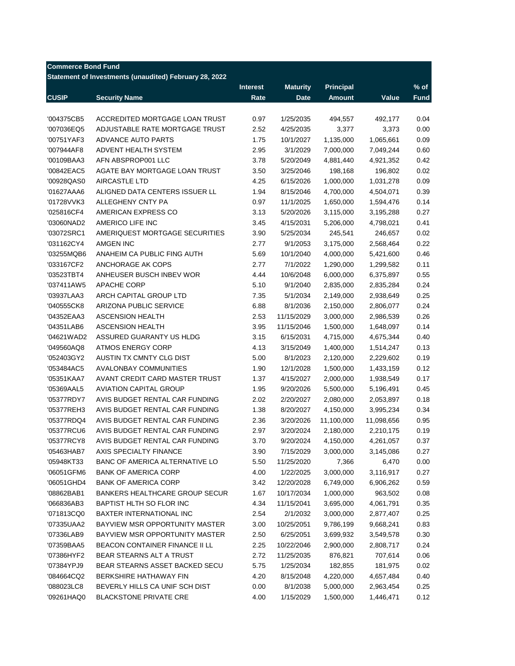| <b>Commerce Bond Fund</b> | Statement of Investments (unaudited) February 28, 2022 |                 |                 |                  |            |                  |
|---------------------------|--------------------------------------------------------|-----------------|-----------------|------------------|------------|------------------|
|                           |                                                        | <b>Interest</b> | <b>Maturity</b> | <b>Principal</b> |            | $\frac{9}{6}$ of |
| <b>CUSIP</b>              | <b>Security Name</b>                                   | Rate            | <b>Date</b>     | <b>Amount</b>    | Value      | Fund             |
|                           |                                                        |                 |                 |                  |            |                  |
| '004375CB5                | ACCREDITED MORTGAGE LOAN TRUST                         | 0.97            | 1/25/2035       | 494,557          | 492,177    | 0.04             |
| '007036EQ5                | ADJUSTABLE RATE MORTGAGE TRUST                         | 2.52            | 4/25/2035       | 3,377            | 3,373      | 0.00             |
| '00751YAF3                | <b>ADVANCE AUTO PARTS</b>                              | 1.75            | 10/1/2027       | 1,135,000        | 1,065,661  | 0.09             |
| '007944AF8                | ADVENT HEALTH SYSTEM                                   | 2.95            | 3/1/2029        | 7,000,000        | 7,049,244  | 0.60             |
| '00109BAA3                | AFN ABSPROP001 LLC                                     | 3.78            | 5/20/2049       | 4,881,440        | 4,921,352  | 0.42             |
| '00842EAC5                | AGATE BAY MORTGAGE LOAN TRUST                          | 3.50            | 3/25/2046       | 198,168          | 196,802    | 0.02             |
| '00928QAS0                | AIRCASTLE LTD                                          | 4.25            | 6/15/2026       | 1,000,000        | 1,031,278  | 0.09             |
| '01627AAA6                | ALIGNED DATA CENTERS ISSUER LL                         | 1.94            | 8/15/2046       | 4,700,000        | 4,504,071  | 0.39             |
| '01728VVK3                | ALLEGHENY CNTY PA                                      | 0.97            | 11/1/2025       | 1,650,000        | 1,594,476  | 0.14             |
| '025816CF4                | AMERICAN EXPRESS CO                                    | 3.13            | 5/20/2026       | 3,115,000        | 3,195,288  | 0.27             |
| '03060NAD2                | AMERICO LIFE INC                                       | 3.45            | 4/15/2031       | 5,206,000        | 4,798,021  | 0.41             |
| '03072SRC1                | AMERIQUEST MORTGAGE SECURITIES                         | 3.90            | 5/25/2034       | 245,541          | 246,657    | 0.02             |
| '031162CY4                | <b>AMGEN INC</b>                                       | 2.77            | 9/1/2053        | 3,175,000        | 2,568,464  | 0.22             |
| '03255MQB6                | ANAHEIM CA PUBLIC FING AUTH                            | 5.69            | 10/1/2040       | 4,000,000        | 5,421,600  | 0.46             |
| '033167CF2                | ANCHORAGE AK COPS                                      | 2.77            | 7/1/2022        | 1,290,000        | 1,299,582  | 0.11             |
| '03523TBT4                | ANHEUSER BUSCH INBEV WOR                               | 4.44            | 10/6/2048       | 6,000,000        | 6,375,897  | 0.55             |
| '037411AW5                | <b>APACHE CORP</b>                                     | 5.10            | 9/1/2040        | 2,835,000        | 2,835,284  | 0.24             |
| '03937LAA3                | ARCH CAPITAL GROUP LTD                                 | 7.35            | 5/1/2034        | 2,149,000        | 2,938,649  | 0.25             |
| '040555CK8                | ARIZONA PUBLIC SERVICE                                 | 6.88            | 8/1/2036        | 2,150,000        | 2,806,077  | 0.24             |
| '04352EAA3                | <b>ASCENSION HEALTH</b>                                | 2.53            | 11/15/2029      | 3,000,000        | 2,986,539  | 0.26             |
| '04351LAB6                | <b>ASCENSION HEALTH</b>                                | 3.95            | 11/15/2046      | 1,500,000        | 1,648,097  | 0.14             |
| '04621WAD2                | ASSURED GUARANTY US HLDG                               | 3.15            | 6/15/2031       | 4,715,000        | 4,675,344  | 0.40             |
| '049560AQ8                | <b>ATMOS ENERGY CORP</b>                               | 4.13            | 3/15/2049       | 1,400,000        | 1,514,247  | 0.13             |
| '052403GY2                | AUSTIN TX CMNTY CLG DIST                               | 5.00            | 8/1/2023        | 2,120,000        | 2,229,602  | 0.19             |
| '053484AC5                | <b>AVALONBAY COMMUNITIES</b>                           | 1.90            | 12/1/2028       | 1,500,000        | 1,433,159  | 0.12             |
| '05351KAA7                | AVANT CREDIT CARD MASTER TRUST                         | 1.37            | 4/15/2027       | 2,000,000        | 1,938,549  | 0.17             |
| '05369AAL5                | <b>AVIATION CAPITAL GROUP</b>                          | 1.95            | 9/20/2026       | 5,500,000        | 5,196,491  | 0.45             |
| '05377RDY7                | AVIS BUDGET RENTAL CAR FUNDING                         | 2.02            | 2/20/2027       | 2,080,000        | 2,053,897  | 0.18             |
| '05377REH3                | AVIS BUDGET RENTAL CAR FUNDING                         | 1.38            | 8/20/2027       | 4,150,000        | 3,995,234  | 0.34             |
| '05377RDQ4                | AVIS BUDGET RENTAL CAR FUNDING                         | 2.36            | 3/20/2026       | 11,100,000       | 11,098,656 | 0.95             |
| '05377RCU6                | AVIS BUDGET RENTAL CAR FUNDING                         | 2.97            | 3/20/2024       | 2,180,000        | 2,210,175  | 0.19             |
| '05377RCY8                | AVIS BUDGET RENTAL CAR FUNDING                         | 3.70            | 9/20/2024       | 4,150,000        | 4,261,057  | 0.37             |
| '05463HAB7                | AXIS SPECIALTY FINANCE                                 | 3.90            | 7/15/2029       | 3,000,000        | 3,145,086  | 0.27             |
| '05948KT33                | BANC OF AMERICA ALTERNATIVE LO                         | 5.50            | 11/25/2020      | 7,366            | 6,470      | 0.00             |
| '06051GFM6                | <b>BANK OF AMERICA CORP</b>                            | 4.00            | 1/22/2025       | 3,000,000        | 3,116,917  | 0.27             |
| '06051GHD4                | <b>BANK OF AMERICA CORP</b>                            | 3.42            | 12/20/2028      | 6,749,000        | 6,906,262  | 0.59             |
| '08862BAB1                | <b>BANKERS HEALTHCARE GROUP SECUR</b>                  | 1.67            | 10/17/2034      | 1,000,000        | 963,502    | 0.08             |
| '066836AB3                | BAPTIST HLTH SO FLOR INC                               | 4.34            | 11/15/2041      | 3,695,000        | 4,061,791  | 0.35             |
| '071813CQ0                | BAXTER INTERNATIONAL INC                               | 2.54            | 2/1/2032        | 3,000,000        | 2,877,407  | 0.25             |
| '07335UAA2                | <b>BAYVIEW MSR OPPORTUNITY MASTER</b>                  | 3.00            | 10/25/2051      | 9,786,199        | 9,668,241  | 0.83             |
| '07336LAB9                | BAYVIEW MSR OPPORTUNITY MASTER                         | 2.50            | 6/25/2051       | 3,699,932        | 3,549,578  | 0.30             |
| '07359BAA5                | BEACON CONTAINER FINANCE II LL                         | 2.25            | 10/22/2046      | 2,900,000        | 2,808,717  | 0.24             |
| '07386HYF2                | BEAR STEARNS ALT A TRUST                               | 2.72            | 11/25/2035      | 876,821          | 707,614    | 0.06             |
| '07384YPJ9                | BEAR STEARNS ASSET BACKED SECU                         | 5.75            | 1/25/2034       | 182,855          | 181,975    | 0.02             |
| '084664CQ2                | BERKSHIRE HATHAWAY FIN                                 | 4.20            | 8/15/2048       | 4,220,000        | 4,657,484  | 0.40             |
| '088023LC8                | BEVERLY HILLS CA UNIF SCH DIST                         | 0.00            | 8/1/2038        | 5,000,000        | 2,963,454  | 0.25             |
| '09261HAQ0                | <b>BLACKSTONE PRIVATE CRE</b>                          | 4.00            | 1/15/2029       | 1,500,000        | 1,446,471  | 0.12             |
|                           |                                                        |                 |                 |                  |            |                  |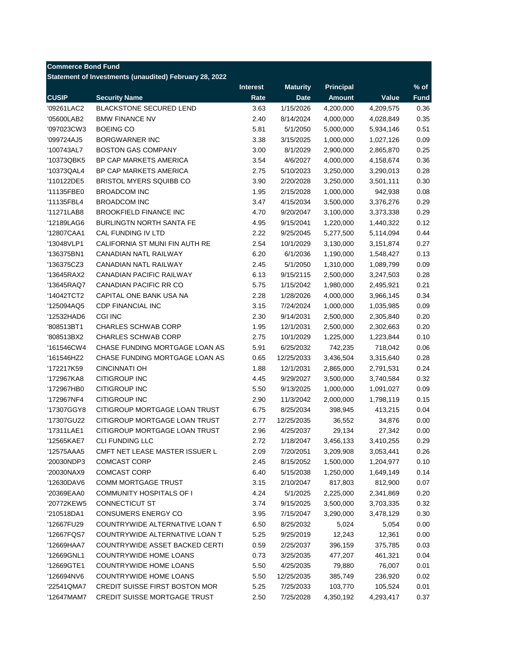|              | Statement of Investments (unaudited) February 28, 2022 |                         |                                |                                   |           |                       |
|--------------|--------------------------------------------------------|-------------------------|--------------------------------|-----------------------------------|-----------|-----------------------|
| <b>CUSIP</b> | <b>Security Name</b>                                   | <b>Interest</b><br>Rate | <b>Maturity</b><br><b>Date</b> | <b>Principal</b><br><b>Amount</b> | Value     | $%$ of<br><b>Fund</b> |
| '09261LAC2   | <b>BLACKSTONE SECURED LEND</b>                         | 3.63                    | 1/15/2026                      | 4,200,000                         | 4,209,575 | 0.36                  |
| '05600LAB2   | <b>BMW FINANCE NV</b>                                  | 2.40                    | 8/14/2024                      | 4,000,000                         | 4,028,849 | 0.35                  |
| '097023CW3   | <b>BOEING CO</b>                                       | 5.81                    | 5/1/2050                       | 5,000,000                         | 5,934,146 | 0.51                  |
| '099724AJ5   | <b>BORGWARNER INC</b>                                  | 3.38                    | 3/15/2025                      | 1,000,000                         | 1,027,126 | 0.09                  |
| '100743AL7   | <b>BOSTON GAS COMPANY</b>                              | 3.00                    | 8/1/2029                       | 2,900,000                         | 2,865,870 | 0.25                  |
| '10373QBK5   | BP CAP MARKETS AMERICA                                 | 3.54                    | 4/6/2027                       | 4,000,000                         | 4,158,674 | 0.36                  |
| '10373QAL4   | BP CAP MARKETS AMERICA                                 | 2.75                    | 5/10/2023                      | 3,250,000                         | 3,290,013 | 0.28                  |
| '110122DE5   | BRISTOL MYERS SQUIBB CO                                | 3.90                    | 2/20/2028                      | 3,250,000                         | 3,501,111 | 0.30                  |
| '11135FBE0   | <b>BROADCOM INC</b>                                    | 1.95                    | 2/15/2028                      | 1,000,000                         | 942,938   | 0.08                  |
| '11135FBL4   | <b>BROADCOM INC</b>                                    | 3.47                    | 4/15/2034                      | 3,500,000                         | 3,376,276 | 0.29                  |
| '11271LAB8   | <b>BROOKFIELD FINANCE INC</b>                          | 4.70                    | 9/20/2047                      | 3,100,000                         | 3,373,338 | 0.29                  |
| '12189LAG6   | BURLINGTN NORTH SANTA FE                               | 4.95                    | 9/15/2041                      | 1,220,000                         | 1,440,322 | 0.12                  |
| '12807CAA1   | CAL FUNDING IV LTD                                     | 2.22                    | 9/25/2045                      | 5,277,500                         | 5,114,094 | 0.44                  |
| '13048VLP1   | CALIFORNIA ST MUNI FIN AUTH RE                         | 2.54                    | 10/1/2029                      | 3,130,000                         | 3,151,874 | 0.27                  |
| '136375BN1   | <b>CANADIAN NATL RAILWAY</b>                           | 6.20                    | 6/1/2036                       | 1,190,000                         | 1,548,427 | 0.13                  |
| '136375CZ3   | CANADIAN NATL RAILWAY                                  | 2.45                    | 5/1/2050                       | 1,310,000                         | 1,089,799 | 0.09                  |
| '13645RAX2   | <b>CANADIAN PACIFIC RAILWAY</b>                        | 6.13                    | 9/15/2115                      | 2,500,000                         | 3,247,503 | 0.28                  |
| '13645RAQ7   | CANADIAN PACIFIC RR CO                                 | 5.75                    | 1/15/2042                      | 1,980,000                         | 2,495,921 | 0.21                  |
| '14042TCT2   | CAPITAL ONE BANK USA NA                                | 2.28                    | 1/28/2026                      | 4,000,000                         | 3,966,145 | 0.34                  |
| '125094AQ5   | <b>CDP FINANCIAL INC</b>                               | 3.15                    | 7/24/2024                      | 1,000,000                         | 1,035,985 | 0.09                  |
| '12532HAD6   | <b>CGI INC</b>                                         | 2.30                    | 9/14/2031                      | 2,500,000                         | 2,305,840 | 0.20                  |
| '808513BT1   | <b>CHARLES SCHWAB CORP</b>                             | 1.95                    | 12/1/2031                      | 2,500,000                         | 2,302,663 | 0.20                  |
| '808513BX2   | <b>CHARLES SCHWAB CORP</b>                             | 2.75                    | 10/1/2029                      | 1,225,000                         | 1,223,844 | 0.10                  |
| '161546CW4   | CHASE FUNDING MORTGAGE LOAN AS                         | 5.91                    | 6/25/2032                      | 742,235                           | 718,042   | 0.06                  |
| '161546HZ2   | CHASE FUNDING MORTGAGE LOAN AS                         | 0.65                    | 12/25/2033                     | 3,436,504                         | 3,315,640 | 0.28                  |
| '172217K59   | <b>CINCINNATI OH</b>                                   | 1.88                    | 12/1/2031                      | 2,865,000                         | 2,791,531 | 0.24                  |
| '172967KA8   | CITIGROUP INC                                          | 4.45                    | 9/29/2027                      | 3,500,000                         | 3,740,584 | 0.32                  |
| '172967HB0   | CITIGROUP INC                                          | 5.50                    | 9/13/2025                      | 1,000,000                         | 1,091,027 | 0.09                  |
| '172967NF4   | <b>CITIGROUP INC</b>                                   | 2.90                    | 11/3/2042                      | 2,000,000                         | 1,798,119 | 0.15                  |
| '17307GGY8   | CITIGROUP MORTGAGE LOAN TRUST                          | 6.75                    | 8/25/2034                      | 398,945                           | 413,215   | 0.04                  |
| '17307GU22   | CITIGROUP MORTGAGE LOAN TRUST                          | 2.77                    | 12/25/2035                     | 36,552                            | 34,876    | 0.00                  |
| '17311LAE1   | CITIGROUP MORTGAGE LOAN TRUST                          | 2.96                    | 4/25/2037                      | 29,134                            | 27,342    | 0.00                  |
| '12565KAE7   | CLI FUNDING LLC                                        | 2.72                    | 1/18/2047                      | 3,456,133                         | 3,410,255 | 0.29                  |
| '12575AAA5   | CMFT NET LEASE MASTER ISSUER L                         | 2.09                    | 7/20/2051                      | 3,209,908                         | 3,053,441 | 0.26                  |
| '20030NDP3   | <b>COMCAST CORP</b>                                    | 2.45                    | 8/15/2052                      | 1,500,000                         | 1,204,977 | 0.10                  |
| '20030NAX9   | <b>COMCAST CORP</b>                                    | 6.40                    | 5/15/2038                      | 1,250,000                         | 1,649,149 | 0.14                  |
| '12630DAV6   | COMM MORTGAGE TRUST                                    | 3.15                    | 2/10/2047                      | 817,803                           | 812,900   | 0.07                  |
| '20369EAA0   | COMMUNITY HOSPITALS OF I                               | 4.24                    | 5/1/2025                       | 2,225,000                         | 2,341,869 | 0.20                  |
| '20772KEW5   | CONNECTICUT ST                                         | 3.74                    | 9/15/2025                      | 3,500,000                         | 3,703,335 | 0.32                  |
| '210518DA1   | <b>CONSUMERS ENERGY CO</b>                             | 3.95                    | 7/15/2047                      | 3,290,000                         | 3,478,129 | 0.30                  |
| '12667FU29   | COUNTRYWIDE ALTERNATIVE LOAN T                         | 6.50                    | 8/25/2032                      | 5,024                             | 5,054     | 0.00                  |
| '12667FQS7   | COUNTRYWIDE ALTERNATIVE LOAN T                         | 5.25                    | 9/25/2019                      | 12,243                            | 12,361    | 0.00                  |
| '12669HAA7   | COUNTRYWIDE ASSET BACKED CERTI                         | 0.59                    | 2/25/2037                      | 396,159                           | 375,785   | 0.03                  |
| '12669GNL1   | COUNTRYWIDE HOME LOANS                                 | 0.73                    | 3/25/2035                      | 477,207                           | 461,321   | 0.04                  |
| '12669GTE1   | COUNTRYWIDE HOME LOANS                                 | 5.50                    | 4/25/2035                      | 79,880                            | 76,007    | 0.01                  |
| '126694NV6   | COUNTRYWIDE HOME LOANS                                 | 5.50                    | 12/25/2035                     | 385,749                           | 236,920   | 0.02                  |
| '22541QMA7   | CREDIT SUISSE FIRST BOSTON MOR                         | 5.25                    | 7/25/2033                      | 103,770                           | 105,524   | 0.01                  |
| '12647MAM7   | CREDIT SUISSE MORTGAGE TRUST                           | 2.50                    | 7/25/2028                      | 4,350,192                         | 4,293,417 | 0.37                  |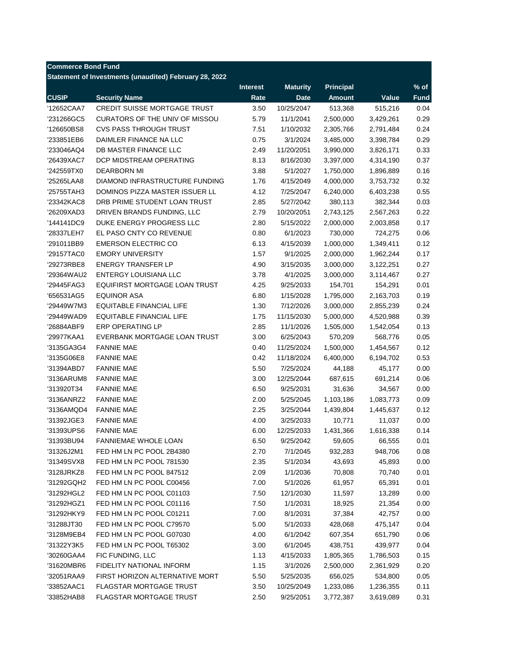| <b>Commerce Bond Fund</b> |                                                         |                 |                 |                  |                   |             |
|---------------------------|---------------------------------------------------------|-----------------|-----------------|------------------|-------------------|-------------|
|                           | Statement of Investments (unaudited) February 28, 2022  |                 |                 |                  |                   |             |
|                           |                                                         | <b>Interest</b> | <b>Maturity</b> | <b>Principal</b> |                   | $%$ of      |
| <b>CUSIP</b>              | <b>Security Name</b>                                    | Rate            | <b>Date</b>     | <b>Amount</b>    | Value             | <b>Fund</b> |
| '12652CAA7                | <b>CREDIT SUISSE MORTGAGE TRUST</b>                     | 3.50            | 10/25/2047      | 513,368          | 515,216           | 0.04        |
| '231266GC5                | CURATORS OF THE UNIV OF MISSOU                          | 5.79            | 11/1/2041       | 2,500,000        | 3,429,261         | 0.29        |
| '126650BS8                | <b>CVS PASS THROUGH TRUST</b>                           | 7.51            | 1/10/2032       | 2,305,766        | 2,791,484         | 0.24        |
| '233851EB6                | DAIMLER FINANCE NA LLC                                  | 0.75            | 3/1/2024        | 3,485,000        | 3,398,784         | 0.29        |
| '233046AQ4                | DB MASTER FINANCE LLC                                   | 2.49            | 11/20/2051      | 3,990,000        | 3,826,171         | 0.33        |
| '26439XAC7                | DCP MIDSTREAM OPERATING                                 | 8.13            | 8/16/2030       | 3,397,000        | 4,314,190         | 0.37        |
| '242559TX0                | <b>DEARBORN MI</b>                                      | 3.88            | 5/1/2027        | 1,750,000        | 1,896,889         | 0.16        |
| '25265LAA8                | DIAMOND INFRASTRUCTURE FUNDING                          | 1.76            | 4/15/2049       | 4,000,000        | 3,753,732         | 0.32        |
| '25755TAH3                | DOMINOS PIZZA MASTER ISSUER LL                          | 4.12            | 7/25/2047       | 6,240,000        | 6,403,238         | 0.55        |
| '23342KAC8                | DRB PRIME STUDENT LOAN TRUST                            | 2.85            | 5/27/2042       | 380,113          | 382,344           | 0.03        |
| '26209XAD3                | DRIVEN BRANDS FUNDING, LLC                              | 2.79            | 10/20/2051      | 2,743,125        | 2,567,263         | 0.22        |
| '144141DC9                | DUKE ENERGY PROGRESS LLC                                | 2.80            | 5/15/2022       | 2,000,000        | 2,003,858         | 0.17        |
| '28337LEH7                | EL PASO CNTY CO REVENUE                                 | 0.80            | 6/1/2023        | 730,000          | 724,275           | 0.06        |
| '291011BB9                | <b>EMERSON ELECTRIC CO</b>                              | 6.13            | 4/15/2039       | 1,000,000        | 1,349,411         | 0.12        |
| '29157TAC0                | <b>EMORY UNIVERSITY</b>                                 | 1.57            | 9/1/2025        | 2,000,000        | 1,962,244         | 0.17        |
| '29273RBE8                | <b>ENERGY TRANSFER LP</b>                               | 4.90            | 3/15/2035       | 3,000,000        | 3,122,251         | 0.27        |
| '29364WAU2                | ENTERGY LOUISIANA LLC                                   | 3.78            | 4/1/2025        | 3,000,000        | 3,114,467         | 0.27        |
| '29445FAG3                | EQUIFIRST MORTGAGE LOAN TRUST                           | 4.25            | 9/25/2033       | 154,701          | 154,291           | 0.01        |
| '656531AG5                | <b>EQUINOR ASA</b>                                      | 6.80            | 1/15/2028       | 1,795,000        | 2,163,703         | 0.19        |
| '29449W7M3                | <b>EQUITABLE FINANCIAL LIFE</b>                         | 1.30            | 7/12/2026       | 3,000,000        | 2,855,239         | 0.24        |
| '29449WAD9                | EQUITABLE FINANCIAL LIFE                                | 1.75            | 11/15/2030      | 5,000,000        | 4,520,988         | 0.39        |
| '26884ABF9                | <b>ERP OPERATING LP</b>                                 | 2.85            | 11/1/2026       | 1,505,000        | 1,542,054         | 0.13        |
| '29977KAA1                | EVERBANK MORTGAGE LOAN TRUST                            | 3.00            | 6/25/2043       | 570,209          | 568,776           | 0.05        |
| '3135GA3G4                | <b>FANNIE MAE</b>                                       | 0.40            | 11/25/2024      | 1,500,000        | 1,454,567         | 0.12        |
| '3135G06E8                | <b>FANNIE MAE</b>                                       | 0.42            | 11/18/2024      | 6,400,000        | 6,194,702         | 0.53        |
| '31394ABD7                | <b>FANNIE MAE</b>                                       | 5.50            | 7/25/2024       | 44,188           | 45,177            | 0.00        |
| '3136ARUM8                | <b>FANNIE MAE</b>                                       | 3.00            | 12/25/2044      | 687,615          | 691,214           | 0.06        |
| '313920T34                | <b>FANNIE MAE</b>                                       | 6.50            | 9/25/2031       | 31,636           | 34,567            | 0.00        |
| '3136ANRZ2                | <b>FANNIE MAE</b>                                       | 2.00            | 5/25/2045       | 1,103,186        | 1,083,773         | 0.09        |
| '3136AMQD4                | <b>FANNIE MAE</b>                                       | 2.25            | 3/25/2044       | 1,439,804        | 1,445,637         | 0.12        |
| '31392JGE3                | <b>FANNIE MAE</b>                                       | 4.00            | 3/25/2033       | 10,771           | 11,037            | 0.00        |
| '31393UPS6                | <b>FANNIE MAE</b>                                       | 6.00            | 12/25/2033      | 1,431,366        | 1,616,338         | 0.14        |
|                           |                                                         |                 |                 |                  |                   | 0.01        |
| '31393BU94                | <b>FANNIEMAE WHOLE LOAN</b><br>FED HM LN PC POOL 2B4380 | 6.50<br>2.70    | 9/25/2042       | 59,605           | 66,555<br>948,706 | 0.08        |
| '31326J2M1                |                                                         |                 | 7/1/2045        | 932,283          |                   |             |
| '31349SVX8<br>'3128JRKZ8  | FED HM LN PC POOL 781530<br>FED HM LN PC POOL 847512    | 2.35            | 5/1/2034        | 43,693           | 45,893            | 0.00        |
|                           |                                                         | 2.09            | 1/1/2036        | 70,808           | 70,740<br>65,391  | 0.01        |
| '31292GQH2                | FED HM LN PC POOL C00456                                | 7.00            | 5/1/2026        | 61,957           |                   | 0.01        |
| '31292HGL2                | FED HM LN PC POOL C01103<br>FED HM LN PC POOL C01116    | 7.50            | 12/1/2030       | 11,597           | 13,289            | 0.00        |
| '31292HGZ1                |                                                         | 7.50            | 1/1/2031        | 18,925           | 21,354            | 0.00        |
| '31292HKY9                | FED HM LN PC POOL C01211                                | 7.00            | 8/1/2031        | 37,384           | 42,757            | 0.00        |
| '31288JT30                | FED HM LN PC POOL C79570                                | 5.00            | 5/1/2033        | 428,068          | 475,147           | 0.04        |
| '3128M9EB4                | FED HM LN PC POOL G07030                                | 4.00            | 6/1/2042        | 607,354          | 651,790           | 0.06        |
| '31322Y3K5                | FED HM LN PC POOL T65302                                | 3.00            | 6/1/2045        | 438,751          | 439,977           | 0.04        |
| '30260GAA4                | FIC FUNDING, LLC                                        | 1.13            | 4/15/2033       | 1,805,365        | 1,786,503         | 0.15        |
| '31620MBR6                | FIDELITY NATIONAL INFORM                                | 1.15            | 3/1/2026        | 2,500,000        | 2,361,929         | 0.20        |
| '32051RAA9                | FIRST HORIZON ALTERNATIVE MORT                          | 5.50            | 5/25/2035       | 656,025          | 534,800           | 0.05        |
| '33852AAC1                | <b>FLAGSTAR MORTGAGE TRUST</b>                          | 3.50            | 10/25/2049      | 1,233,086        | 1,236,355         | 0.11        |
| '33852HAB8                | FLAGSTAR MORTGAGE TRUST                                 | 2.50            | 9/25/2051       | 3,772,387        | 3,619,089         | 0.31        |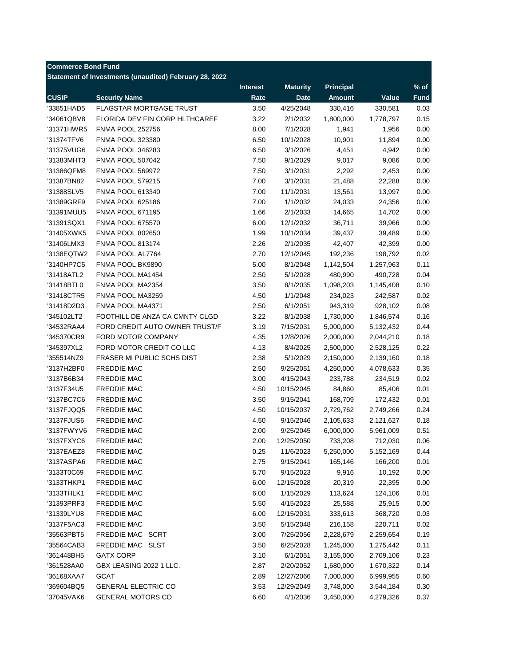| <b>Commerce Bond Fund</b> | Statement of Investments (unaudited) February 28, 2022 |                 |                 |                  |           |             |
|---------------------------|--------------------------------------------------------|-----------------|-----------------|------------------|-----------|-------------|
|                           |                                                        | <b>Interest</b> | <b>Maturity</b> | <b>Principal</b> |           | % of        |
| <b>CUSIP</b>              | <b>Security Name</b>                                   | Rate            | <b>Date</b>     | <b>Amount</b>    | Value     | <b>Fund</b> |
| '33851HAD5                | <b>FLAGSTAR MORTGAGE TRUST</b>                         | 3.50            | 4/25/2048       | 330,416          | 330,581   | 0.03        |
| '34061QBV8                | FLORIDA DEV FIN CORP HLTHCAREF                         | 3.22            | 2/1/2032        | 1,800,000        | 1,778,797 | 0.15        |
| '31371HWR5                | <b>FNMA POOL 252756</b>                                | 8.00            | 7/1/2028        | 1,941            | 1,956     | 0.00        |
| '31374TFV6                | FNMA POOL 323380                                       | 6.50            | 10/1/2028       | 10,901           | 11,894    | 0.00        |
| '31375VUG6                | FNMA POOL 346283                                       | 6.50            | 3/1/2026        | 4,451            | 4,942     | 0.00        |
| '31383MHT3                | <b>FNMA POOL 507042</b>                                | 7.50            | 9/1/2029        | 9,017            | 9,086     | 0.00        |
| '31386QFM8                | <b>FNMA POOL 569972</b>                                | 7.50            | 3/1/2031        | 2,292            | 2,453     | 0.00        |
| '31387BN82                | <b>FNMA POOL 579215</b>                                | 7.00            | 3/1/2031        | 21,488           | 22,288    | 0.00        |
| '31388SLV5                | <b>FNMA POOL 613340</b>                                | 7.00            | 11/1/2031       | 13,561           | 13,997    | 0.00        |
| '31389GRF9                | <b>FNMA POOL 625186</b>                                | 7.00            | 1/1/2032        | 24,033           | 24,356    | 0.00        |
| '31391MUU5                | <b>FNMA POOL 671195</b>                                | 1.66            | 2/1/2033        | 14,665           | 14,702    | 0.00        |
| '31391SQX1                | <b>FNMA POOL 675570</b>                                | 6.00            | 12/1/2032       | 36,711           | 39,966    | 0.00        |
| '31405XWK5                | <b>FNMA POOL 802650</b>                                | 1.99            | 10/1/2034       | 39,437           | 39,489    | 0.00        |
| '31406LMX3                | <b>FNMA POOL 813174</b>                                | 2.26            | 2/1/2035        | 42,407           | 42,399    | 0.00        |
| '3138EQTW2                | FNMA POOL AL7764                                       | 2.70            | 12/1/2045       | 192,236          | 198,792   | 0.02        |
| '3140HP7C5                | FNMA POOL BK9890                                       | 5.00            | 8/1/2048        | 1,142,504        | 1,257,963 | 0.11        |
| '31418ATL2                | FNMA POOL MA1454                                       | 2.50            | 5/1/2028        | 480,990          | 490,728   | 0.04        |
| '31418BTL0                | FNMA POOL MA2354                                       | 3.50            | 8/1/2035        | 1,098,203        | 1,145,408 | 0.10        |
| '31418CTR5                | FNMA POOL MA3259                                       | 4.50            | 1/1/2048        | 234,023          | 242,587   | 0.02        |
| '31418D2D3                | FNMA POOL MA4371                                       | 2.50            | 6/1/2051        | 943,319          | 928,102   | 0.08        |
| '345102LT2                | FOOTHILL DE ANZA CA CMNTY CLGD                         | 3.22            | 8/1/2038        | 1,730,000        | 1,846,574 | 0.16        |
| '34532RAA4                | FORD CREDIT AUTO OWNER TRUST/F                         | 3.19            | 7/15/2031       | 5,000,000        | 5,132,432 | 0.44        |
| '345370CR9                | FORD MOTOR COMPANY                                     | 4.35            | 12/8/2026       | 2,000,000        | 2,044,210 | 0.18        |
| '345397XL2                | FORD MOTOR CREDIT CO LLC                               | 4.13            | 8/4/2025        | 2,500,000        | 2,528,125 | 0.22        |
| '355514NZ9                | <b>FRASER MI PUBLIC SCHS DIST</b>                      | 2.38            | 5/1/2029        | 2,150,000        | 2,139,160 | 0.18        |
| '3137H2BF0                | <b>FREDDIE MAC</b>                                     | 2.50            | 9/25/2051       | 4,250,000        | 4,078,633 | 0.35        |
| '3137B6B34                | <b>FREDDIE MAC</b>                                     | 3.00            | 4/15/2043       | 233,788          | 234,519   | 0.02        |
| '3137F34U5                | <b>FREDDIE MAC</b>                                     | 4.50            | 10/15/2045      | 84,860           | 85,406    | 0.01        |
| '3137BC7C6                | <b>FREDDIE MAC</b>                                     | 3.50            | 9/15/2041       | 168,709          | 172,432   | 0.01        |
| '3137FJQQ5                | <b>FREDDIE MAC</b>                                     | 4.50            | 10/15/2037      | 2,729,762        | 2,749,266 | 0.24        |
| '3137FJUS6                | <b>FREDDIE MAC</b>                                     | 4.50            | 9/15/2046       | 2,105,633        | 2,121,627 | 0.18        |
| '3137FWYV6                | <b>FREDDIE MAC</b>                                     | 2.00            | 9/25/2045       | 6,000,000        | 5,961,009 | 0.51        |
| '3137FXYC6                | <b>FREDDIE MAC</b>                                     | 2.00            | 12/25/2050      | 733,208          | 712,030   | 0.06        |
| '3137EAEZ8                | <b>FREDDIE MAC</b>                                     | 0.25            | 11/6/2023       | 5,250,000        | 5,152,169 | 0.44        |
| '3137ASPA6                | <b>FREDDIE MAC</b>                                     | 2.75            | 9/15/2041       | 165,146          | 166,200   | 0.01        |
| '3133T0C69                | <b>FREDDIE MAC</b>                                     | 6.70            | 9/15/2023       | 9,916            | 10,192    | 0.00        |
| '3133THKP1                | <b>FREDDIE MAC</b>                                     | 6.00            | 12/15/2028      | 20,319           | 22,395    | 0.00        |
| '3133THLK1                | <b>FREDDIE MAC</b>                                     | 6.00            | 1/15/2029       | 113,624          | 124,106   | 0.01        |
| '31393PRF3                | <b>FREDDIE MAC</b>                                     | 5.50            | 4/15/2023       | 25,588           | 25,915    | 0.00        |
| '31339LYU8                | <b>FREDDIE MAC</b>                                     | 6.00            | 12/15/2031      | 333,613          | 368,720   | 0.03        |
|                           | <b>FREDDIE MAC</b>                                     |                 |                 |                  | 220,711   | 0.02        |
| '3137F5AC3                |                                                        | 3.50            | 5/15/2048       | 216,158          |           |             |
| '35563PBT5                | FREDDIE MAC SCRT                                       | 3.00            | 7/25/2056       | 2,228,679        | 2,259,654 | 0.19        |
| '35564CAB3                | FREDDIE MAC SLST                                       | 3.50            | 6/25/2028       | 1,245,000        | 1,275,442 | 0.11        |
| '361448BH5                | <b>GATX CORP</b>                                       | 3.10            | 6/1/2051        | 3,155,000        | 2,709,106 | 0.23        |
| '361528AA0                | GBX LEASING 2022 1 LLC.                                | 2.87            | 2/20/2052       | 1,680,000        | 1,670,322 | 0.14        |
| '36168XAA7                | GCAT                                                   | 2.89            | 12/27/2066      | 7,000,000        | 6,999,955 | 0.60        |
| '369604BQ5                | <b>GENERAL ELECTRIC CO</b>                             | 3.53            | 12/29/2049      | 3,748,000        | 3,544,184 | 0.30        |
| '37045VAK6                | <b>GENERAL MOTORS CO</b>                               | 6.60            | 4/1/2036        | 3,450,000        | 4,279,326 | 0.37        |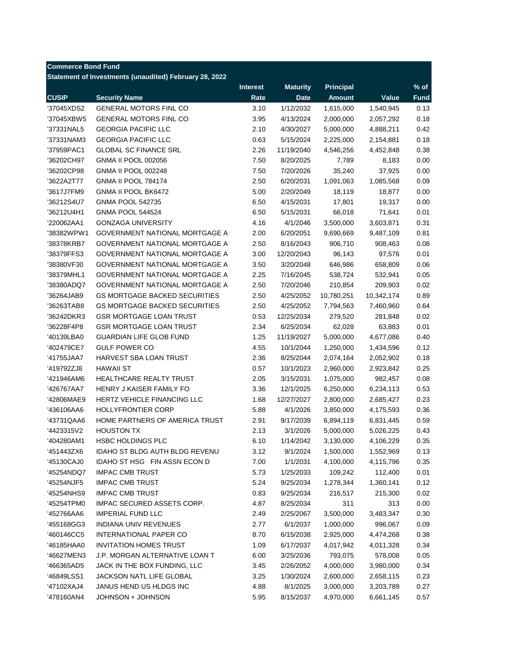| <b>Commerce Bond Fund</b> | Statement of Investments (unaudited) February 28, 2022 |                 |                 |                  |            |             |
|---------------------------|--------------------------------------------------------|-----------------|-----------------|------------------|------------|-------------|
|                           |                                                        | <b>Interest</b> | <b>Maturity</b> | <b>Principal</b> |            | % of        |
| <b>CUSIP</b>              | <b>Security Name</b>                                   | Rate            | <b>Date</b>     | <b>Amount</b>    | Value      | <b>Fund</b> |
| '37045XDS2                | <b>GENERAL MOTORS FINL CO</b>                          | 3.10            | 1/12/2032       | 1,615,000        | 1,540,945  | 0.13        |
| '37045XBW5                | <b>GENERAL MOTORS FINL CO</b>                          | 3.95            | 4/13/2024       | 2,000,000        | 2,057,292  | 0.18        |
| '37331NAL5                | <b>GEORGIA PACIFIC LLC</b>                             | 2.10            | 4/30/2027       | 5,000,000        | 4,888,211  | 0.42        |
| '37331NAM3                | <b>GEORGIA PACIFIC LLC</b>                             | 0.63            | 5/15/2024       | 2,225,000        | 2,154,881  | 0.18        |
| '37959PAC1                | <b>GLOBAL SC FINANCE SRL</b>                           | 2.26            | 11/19/2040      | 4,546,256        | 4,452,848  | 0.38        |
| '36202CH97                | <b>GNMA II POOL 002056</b>                             | 7.50            | 8/20/2025       | 7,789            | 8,183      | 0.00        |
| '36202CP98                | <b>GNMA II POOL 002248</b>                             | 7.50            | 7/20/2026       | 35,240           | 37,925     | 0.00        |
| '3622A2T77                | <b>GNMA II POOL 784174</b>                             | 2.50            | 6/20/2031       | 1,091,063        | 1,085,568  | 0.09        |
| '3617J7FM9                | <b>GNMA II POOL BK6472</b>                             | 5.00            | 2/20/2049       | 18,119           | 18,877     | 0.00        |
| '36212S4U7                | <b>GNMA POOL 542735</b>                                | 6.50            | 4/15/2031       | 17,801           | 19,317     | 0.00        |
| '36212U4H1                | <b>GNMA POOL 544524</b>                                | 6.50            | 5/15/2031       | 66,018           | 71,641     | 0.01        |
| '220062AA1                | <b>GONZAGA UNIVERSITY</b>                              | 4.16            | 4/1/2046        | 3,500,000        | 3,603,871  | 0.31        |
| '38382WPW1                | <b>GOVERNMENT NATIONAL MORTGAGE A</b>                  | 2.00            | 6/20/2051       | 9,690,669        | 9,487,109  | 0.81        |
| '38378KRB7                | <b>GOVERNMENT NATIONAL MORTGAGE A</b>                  | 2.50            | 8/16/2043       | 906,710          | 908,463    | 0.08        |
| '38379FFS3                | <b>GOVERNMENT NATIONAL MORTGAGE A</b>                  | 3.00            | 12/20/2043      | 96,143           | 97,576     | 0.01        |
| '38380VF30                | GOVERNMENT NATIONAL MORTGAGE A                         | 3.50            | 3/20/2048       | 646,986          | 658,809    | 0.06        |
| '38379MHL1                | <b>GOVERNMENT NATIONAL MORTGAGE A</b>                  | 2.25            | 7/16/2045       | 538,724          | 532,941    | 0.05        |
| '38380ADQ7                | GOVERNMENT NATIONAL MORTGAGE A                         | 2.50            | 7/20/2046       | 210,854          | 209,903    | 0.02        |
| '36264JAB9                | <b>GS MORTGAGE BACKED SECURITIES</b>                   | 2.50            | 4/25/2052       | 10,780,251       | 10,342,174 | 0.89        |
| '36263TAB8                | <b>GS MORTGAGE BACKED SECURITIES</b>                   | 2.50            | 4/25/2052       | 7,794,563        | 7,460,960  | 0.64        |
| '36242DKR3                | <b>GSR MORTGAGE LOAN TRUST</b>                         | 0.53            | 12/25/2034      | 279,520          | 281,848    | 0.02        |
| '36228F4P8                | <b>GSR MORTGAGE LOAN TRUST</b>                         | 2.34            | 6/25/2034       | 62,028           | 63,883     | 0.01        |
| '40139LBA0                | <b>GUARDIAN LIFE GLOB FUND</b>                         | 1.25            | 11/19/2027      | 5,000,000        | 4,677,086  | 0.40        |
| '402479CE7                | <b>GULF POWER CO</b>                                   | 4.55            | 10/1/2044       | 1,250,000        | 1,434,596  | 0.12        |
| '41755JAA7                | HARVEST SBA LOAN TRUST                                 | 2.36            | 8/25/2044       | 2,074,164        | 2,052,902  | 0.18        |
| '419792ZJ8                | <b>HAWAII ST</b>                                       | 0.57            | 10/1/2023       | 2,960,000        | 2,923,842  | 0.25        |
| '421946AM6                | HEALTHCARE REALTY TRUST                                | 2.05            | 3/15/2031       | 1,075,000        | 982,457    | 0.08        |
| '426767AA7                | HENRY J KAISER FAMILY FO                               | 3.36            | 12/1/2025       | 6,250,000        | 6,234,113  | 0.53        |
| '42806MAE9                | HERTZ VEHICLE FINANCING LLC                            | 1.68            | 12/27/2027      | 2,800,000        | 2,685,427  | 0.23        |
| '436106AA6                | <b>HOLLYFRONTIER CORP</b>                              | 5.88            | 4/1/2026        | 3,850,000        | 4,175,593  | 0.36        |
| '43731QAA6                | HOME PARTNERS OF AMERICA TRUST                         | 2.91            | 9/17/2039       | 6,894,119        | 6,831,445  | 0.59        |
| '4423315V2                | <b>HOUSTON TX</b>                                      | 2.13            | 3/1/2026        | 5,000,000        | 5,026,225  | 0.43        |
| '404280AM1                | <b>HSBC HOLDINGS PLC</b>                               | 6.10            | 1/14/2042       | 3,130,000        | 4,106,229  | 0.35        |
| '451443ZX6                | IDAHO ST BLDG AUTH BLDG REVENU                         | 3.12            | 9/1/2024        | 1,500,000        | 1,552,969  | 0.13        |
| '45130CAJ0                | IDAHO ST HSG FIN ASSN ECON D                           | 7.00            | 1/1/2031        | 4,100,000        | 4,115,796  | 0.35        |
| '45254NDQ7                | <b>IMPAC CMB TRUST</b>                                 | 5.73            | 1/25/2033       | 109,242          | 112,400    | 0.01        |
| '45254NJF5                | <b>IMPAC CMB TRUST</b>                                 | 5.24            | 9/25/2034       | 1,278,344        | 1,360,141  | 0.12        |
| '45254NHS9                | <b>IMPAC CMB TRUST</b>                                 | 0.83            | 9/25/2034       | 216,517          | 215,300    | 0.02        |
| '45254TPM0                | IMPAC SECURED ASSETS CORP.                             | 4.87            | 8/25/2034       | 311              | 313        | 0.00        |
| '452766AA6                | <b>IMPERIAL FUND LLC</b>                               | 2.49            | 2/25/2067       | 3,500,000        | 3,483,347  | 0.30        |
| '455168GG3                | INDIANA UNIV REVENUES                                  | 2.77            | 6/1/2037        | 1,000,000        | 996,067    | 0.09        |
| '460146CC5                | INTERNATIONAL PAPER CO                                 | 8.70            | 6/15/2038       | 2,925,000        | 4,474,268  | 0.38        |
| '46185HAA0                | <b>INVITATION HOMES TRUST</b>                          | 1.09            | 6/17/2037       | 4,017,942        | 4,011,328  | 0.34        |
| '46627MEN3                | J.P. MORGAN ALTERNATIVE LOAN T                         | 6.00            | 3/25/2036       | 793,075          | 578,008    | 0.05        |
| '466365AD5                | JACK IN THE BOX FUNDING, LLC                           | 3.45            | 2/26/2052       | 4,000,000        | 3,980,000  | 0.34        |
| '46849LSS1                | JACKSON NATL LIFE GLOBAL                               | 3.25            | 1/30/2024       | 2,600,000        | 2,658,115  | 0.23        |
| '47102XAJ4                | JANUS HEND US HLDGS INC                                | 4.88            | 8/1/2025        | 3,000,000        | 3,203,789  | 0.27        |
| '478160AN4                | JOHNSON + JOHNSON                                      | 5.95            | 8/15/2037       | 4,970,000        | 6,661,145  | 0.57        |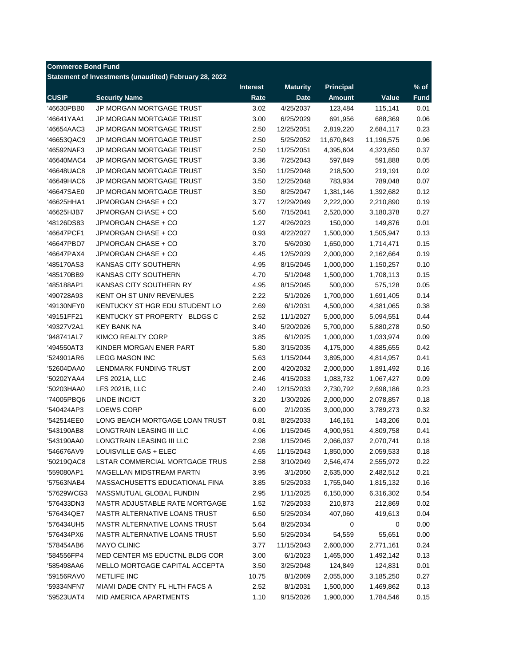| <b>Commerce Bond Fund</b> |                                                        |                 |                 |                  |            |             |
|---------------------------|--------------------------------------------------------|-----------------|-----------------|------------------|------------|-------------|
|                           | Statement of Investments (unaudited) February 28, 2022 |                 |                 |                  |            |             |
|                           |                                                        | <b>Interest</b> | <b>Maturity</b> | <b>Principal</b> |            | $%$ of      |
| <b>CUSIP</b>              | <b>Security Name</b>                                   | Rate            | <b>Date</b>     | <b>Amount</b>    | Value      | <b>Fund</b> |
| '46630PBB0                | JP MORGAN MORTGAGE TRUST                               | 3.02            | 4/25/2037       | 123,484          | 115,141    | 0.01        |
| '46641YAA1                | JP MORGAN MORTGAGE TRUST                               | 3.00            | 6/25/2029       | 691,956          | 688,369    | 0.06        |
| '46654AAC3                | JP MORGAN MORTGAGE TRUST                               | 2.50            | 12/25/2051      | 2,819,220        | 2,684,117  | 0.23        |
| '46653QAC9                | JP MORGAN MORTGAGE TRUST                               | 2.50            | 5/25/2052       | 11,670,843       | 11,196,575 | 0.96        |
| '46592NAF3                | <b>JP MORGAN MORTGAGE TRUST</b>                        | 2.50            | 11/25/2051      | 4,395,604        | 4,323,650  | 0.37        |
| '46640MAC4                | JP MORGAN MORTGAGE TRUST                               | 3.36            | 7/25/2043       | 597,849          | 591,888    | 0.05        |
| '46648UAC8                | JP MORGAN MORTGAGE TRUST                               | 3.50            | 11/25/2048      | 218,500          | 219,191    | 0.02        |
| '46649HAC6                | JP MORGAN MORTGAGE TRUST                               | 3.50            | 12/25/2048      | 783,934          | 789,048    | 0.07        |
| '46647SAE0                | JP MORGAN MORTGAGE TRUST                               | 3.50            | 8/25/2047       | 1,381,146        | 1,392,682  | 0.12        |
| '46625HHA1                | JPMORGAN CHASE + CO                                    | 3.77            | 12/29/2049      | 2,222,000        | 2,210,890  | 0.19        |
| '46625HJB7                | JPMORGAN CHASE + CO                                    | 5.60            | 7/15/2041       | 2,520,000        | 3,180,378  | 0.27        |
| '48126DS83                | JPMORGAN CHASE + CO                                    | 1.27            | 4/26/2023       | 150,000          | 149,876    | 0.01        |
| '46647PCF1                | JPMORGAN CHASE + CO                                    | 0.93            | 4/22/2027       | 1,500,000        | 1,505,947  | 0.13        |
| '46647PBD7                | JPMORGAN CHASE + CO                                    | 3.70            | 5/6/2030        | 1,650,000        | 1,714,471  | 0.15        |
| '46647PAX4                | JPMORGAN CHASE + CO                                    | 4.45            | 12/5/2029       | 2,000,000        | 2,162,664  | 0.19        |
| '485170AS3                | KANSAS CITY SOUTHERN                                   | 4.95            | 8/15/2045       | 1,000,000        | 1,150,257  | 0.10        |
| '485170BB9                | KANSAS CITY SOUTHERN                                   | 4.70            | 5/1/2048        | 1,500,000        | 1,708,113  | 0.15        |
| '485188AP1                | KANSAS CITY SOUTHERN RY                                | 4.95            | 8/15/2045       | 500,000          | 575,128    | 0.05        |
| '490728A93                | <b>KENT OH ST UNIV REVENUES</b>                        | 2.22            | 5/1/2026        | 1,700,000        | 1,691,405  | 0.14        |
| '49130NFY0                | KENTUCKY ST HGR EDU STUDENT LO                         | 2.69            | 6/1/2031        | 4,500,000        | 4,381,065  | 0.38        |
| '49151FF21                | KENTUCKY ST PROPERTY BLDGS C                           | 2.52            | 11/1/2027       | 5,000,000        | 5,094,551  | 0.44        |
| '49327V2A1                | <b>KEY BANK NA</b>                                     | 3.40            | 5/20/2026       | 5,700,000        | 5,880,278  | 0.50        |
| '948741AL7                | KIMCO REALTY CORP                                      | 3.85            | 6/1/2025        | 1,000,000        | 1,033,974  | 0.09        |
|                           | KINDER MORGAN ENER PART                                | 5.80            | 3/15/2035       | 4,175,000        |            | 0.42        |
| '494550AT3<br>'524901AR6  | <b>LEGG MASON INC</b>                                  | 5.63            | 1/15/2044       | 3,895,000        | 4,885,655  | 0.41        |
| '52604DAA0                | LENDMARK FUNDING TRUST                                 | 2.00            | 4/20/2032       | 2,000,000        | 4,814,957  | 0.16        |
|                           |                                                        |                 |                 |                  | 1,891,492  |             |
| '50202YAA4                | LFS 2021A, LLC                                         | 2.46            | 4/15/2033       | 1,083,732        | 1,067,427  | 0.09        |
| '50203HAA0                | LFS 2021B, LLC                                         | 2.40            | 12/15/2033      | 2,730,792        | 2,698,186  | 0.23        |
| '74005PBQ6                | LINDE INC/CT                                           | 3.20            | 1/30/2026       | 2,000,000        | 2,078,857  | 0.18        |
| '540424AP3                | LOEWS CORP                                             | 6.00            | 2/1/2035        | 3,000,000        | 3,789,273  | 0.32        |
| '542514EE0                | LONG BEACH MORTGAGE LOAN TRUST                         | 0.81            | 8/25/2033       | 146,161          | 143,206    | 0.01        |
| '543190AB8                | LONGTRAIN LEASING III LLC                              | 4.06            | 1/15/2045       | 4,900,951        | 4,809,758  | 0.41        |
| '543190AA0                | LONGTRAIN LEASING III LLC                              | 2.98            | 1/15/2045       | 2,066,037        | 2,070,741  | 0.18        |
| '546676AV9                | LOUISVILLE GAS + ELEC                                  | 4.65            | 11/15/2043      | 1,850,000        | 2,059,533  | 0.18        |
| '50219QAC8                | LSTAR COMMERCIAL MORTGAGE TRUS                         | 2.58            | 3/10/2049       | 2,546,474        | 2,555,972  | 0.22        |
| '559080AP1                | <b>MAGELLAN MIDSTREAM PARTN</b>                        | 3.95            | 3/1/2050        | 2,635,000        | 2,482,512  | 0.21        |
| '57563NAB4                | <b>MASSACHUSETTS EDUCATIONAL FINA</b>                  | 3.85            | 5/25/2033       | 1,755,040        | 1,815,132  | 0.16        |
| '57629WCG3                | MASSMUTUAL GLOBAL FUNDIN                               | 2.95            | 1/11/2025       | 6,150,000        | 6,316,302  | 0.54        |
| '576433DN3                | MASTR ADJUSTABLE RATE MORTGAGE                         | 1.52            | 7/25/2033       | 210,873          | 212,869    | 0.02        |
| '576434QE7                | MASTR ALTERNATIVE LOANS TRUST                          | 6.50            | 5/25/2034       | 407,060          | 419,613    | 0.04        |
| '576434UH5                | MASTR ALTERNATIVE LOANS TRUST                          | 5.64            | 8/25/2034       | 0                | 0          | 0.00        |
| '576434PX6                | MASTR ALTERNATIVE LOANS TRUST                          | 5.50            | 5/25/2034       | 54,559           | 55,651     | 0.00        |
| '578454AB6                | <b>MAYO CLINIC</b>                                     | 3.77            | 11/15/2043      | 2,600,000        | 2,771,161  | 0.24        |
| '584556FP4                | MED CENTER MS EDUCTNL BLDG COR                         | 3.00            | 6/1/2023        | 1,465,000        | 1,492,142  | 0.13        |
| '585498AA6                | MELLO MORTGAGE CAPITAL ACCEPTA                         | 3.50            | 3/25/2048       | 124,849          | 124,831    | 0.01        |
| '59156RAV0                | METLIFE INC                                            | 10.75           | 8/1/2069        | 2,055,000        | 3,185,250  | 0.27        |
| '59334NFN7                | MIAMI DADE CNTY FL HLTH FACS A                         | 2.52            | 8/1/2031        | 1,500,000        | 1,469,862  | 0.13        |
| '59523UAT4                | MID AMERICA APARTMENTS                                 | 1.10            | 9/15/2026       | 1,900,000        | 1,784,546  | 0.15        |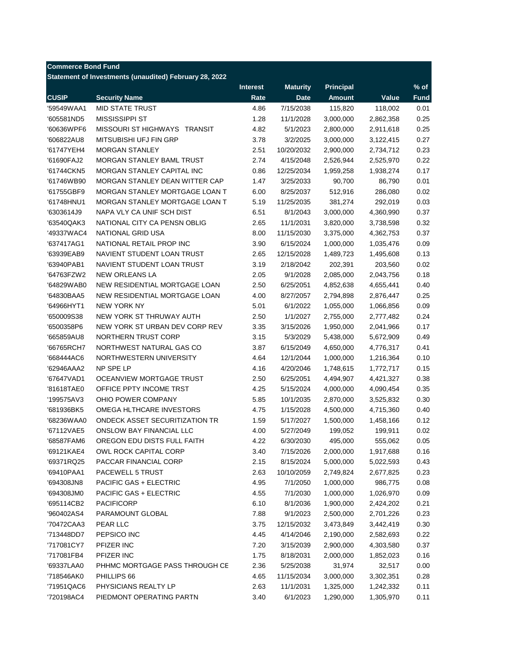| Statement of Investments (unaudited) February 28, 2022<br><b>Maturity</b><br><b>Principal</b><br>% of<br><b>Interest</b><br><b>CUSIP</b><br><b>Security Name</b><br>Rate<br><b>Date</b><br>Value<br><b>Fund</b><br><b>Amount</b><br><b>MID STATE TRUST</b><br>'59549WAA1<br>4.86<br>7/15/2038<br>115,820<br>118,002<br>0.01<br>MISSISSIPPI ST<br>1.28<br>0.25<br>'605581ND5<br>11/1/2028<br>3,000,000<br>2,862,358<br>0.25<br>'60636WPF6<br>MISSOURI ST HIGHWAYS TRANSIT<br>4.82<br>5/1/2023<br>2,800,000<br>2,911,618<br>0.27<br>'606822AU8<br>MITSUBISHI UFJ FIN GRP<br>3.78<br>3/2/2025<br>3,000,000<br>3,122,415<br>0.23<br>'61747YEH4<br><b>MORGAN STANLEY</b><br>2.51<br>10/20/2032<br>2,900,000<br>2,734,712<br>MORGAN STANLEY BAML TRUST<br>2.74<br>0.22<br>'61690FAJ2<br>4/15/2048<br>2,526,944<br>2,525,970<br>'61744CKN5<br>MORGAN STANLEY CAPITAL INC<br>0.86<br>12/25/2034<br>0.17<br>1,959,258<br>1,938,274<br>0.01<br>'61746WB90<br>MORGAN STANLEY DEAN WITTER CAP<br>1.47<br>3/25/2033<br>90,700<br>86,790<br>0.02<br>MORGAN STANLEY MORTGAGE LOAN T<br>6.00<br>512,916<br>'61755GBF9<br>8/25/2037<br>286,080<br>'61748HNU1<br>MORGAN STANLEY MORTGAGE LOAN T<br>5.19<br>11/25/2035<br>381,274<br>0.03<br>292,019<br>NAPA VLY CA UNIF SCH DIST<br>'6303614J9<br>6.51<br>8/1/2043<br>3,000,000<br>4,360,990<br>0.37<br>'63540QAK3<br>NATIONAL CITY CA PENSN OBLIG<br>2.65<br>11/1/2031<br>0.32<br>3,820,000<br>3,738,598<br>'49337WAC4<br>NATIONAL GRID USA<br>8.00<br>11/15/2030<br>0.37<br>3,375,000<br>4,362,753<br>0.09<br>'637417AG1<br>NATIONAL RETAIL PROP INC<br>3.90<br>6/15/2024<br>1,000,000<br>1,035,476<br>0.13<br>'63939EAB9<br>NAVIENT STUDENT LOAN TRUST<br>2.65<br>12/15/2028<br>1,489,723<br>1,495,608<br>3.19<br>0.02<br>'63940PAB1<br>NAVIENT STUDENT LOAN TRUST<br>2/18/2042<br>202,391<br>203,560<br>0.18<br>NEW ORLEANS LA<br>2.05<br>2,085,000<br>'64763FZW2<br>9/1/2028<br>2,043,756<br>0.40<br>'64829WAB0<br>NEW RESIDENTIAL MORTGAGE LOAN<br>2.50<br>6/25/2051<br>4,852,638<br>4,655,441<br>0.25<br>'64830BAA5<br>NEW RESIDENTIAL MORTGAGE LOAN<br>4.00<br>8/27/2057<br>2,794,898<br>2,876,447<br>5.01<br>0.09<br>'64966HYT1<br><b>NEW YORK NY</b><br>6/1/2022<br>1,055,000<br>1,066,856<br>0.24<br>'650009S38<br>NEW YORK ST THRUWAY AUTH<br>2.50<br>1/1/2027<br>2,777,482<br>2,755,000<br>'6500358P6<br>NEW YORK ST URBAN DEV CORP REV<br>3.35<br>3/15/2026<br>1,950,000<br>0.17<br>2,041,966<br>0.49<br>'665859AU8<br>NORTHERN TRUST CORP<br>3.15<br>5/3/2029<br>5,438,000<br>5,672,909<br>NORTHWEST NATURAL GAS CO<br>3.87<br>0.41<br>'66765RCH7<br>6/15/2049<br>4,650,000<br>4,776,317<br>NORTHWESTERN UNIVERSITY<br>4.64<br>1,000,000<br>0.10<br>'668444AC6<br>12/1/2044<br>1,216,364<br>'62946AAA2<br>NP SPE LP<br>4.16<br>0.15<br>4/20/2046<br>1,748,615<br>1,772,717<br>'67647VAD1<br>OCEANVIEW MORTGAGE TRUST<br>2.50<br>0.38<br>6/25/2051<br>4,494,907<br>4,421,327<br>'81618TAE0<br>OFFICE PPTY INCOME TRST<br>4.25<br>0.35<br>5/15/2024<br>4,000,000<br>4,090,454<br>'199575AV3<br>OHIO POWER COMPANY<br>5.85<br>0.30<br>10/1/2035<br>2,870,000<br>3,525,832<br>'681936BK5<br>OMEGA HLTHCARE INVESTORS<br>4.75<br>4,500,000<br>0.40<br>1/15/2028<br>4,715,360<br>ONDECK ASSET SECURITIZATION TR<br>0.12<br>'68236WAA0<br>1.59<br>5/17/2027<br>1,500,000<br>1,458,166<br>'67112VAE5<br><b>ONSLOW BAY FINANCIAL LLC</b><br>4.00<br>5/27/2049<br>199,052<br>0.02<br>199,911<br>'68587FAM6<br>OREGON EDU DISTS FULL FAITH<br>4.22<br>6/30/2030<br>495,000<br>555,062<br>0.05<br>'69121KAE4<br>OWL ROCK CAPITAL CORP<br>3.40<br>7/15/2026<br>2,000,000<br>0.16<br>1,917,688<br>'69371RQ25<br>PACCAR FINANCIAL CORP<br>2.15<br>8/15/2024<br>5,000,000<br>0.43<br>5,022,593<br>'69410PAA1<br>PACEWELL 5 TRUST<br>2.63<br>10/10/2059<br>0.23<br>2,749,824<br>2,677,825<br>'694308JN8<br>PACIFIC GAS + ELECTRIC<br>4.95<br>7/1/2050<br>1,000,000<br>986,775<br>0.08<br>PACIFIC GAS + ELECTRIC<br>1,000,000<br>0.09<br>'694308JM0<br>4.55<br>7/1/2030<br>1,026,970<br><b>PACIFICORP</b><br>6.10<br>1,900,000<br>0.21<br>'695114CB2<br>8/1/2036<br>2,424,202<br>PARAMOUNT GLOBAL<br>7.88<br>9/1/2023<br>2,500,000<br>0.23<br>'960402AS4<br>2,701,226<br>PEAR LLC<br>3.75<br>0.30<br>'70472CAA3<br>12/15/2032<br>3,473,849<br>3,442,419<br>PEPSICO INC<br>4.45<br>0.22<br>'713448DD7<br>4/14/2046<br>2,190,000<br>2,582,693<br>PFIZER INC<br>'717081CY7<br>7.20<br>3/15/2039<br>2,900,000<br>4,303,580<br>0.37<br>'717081FB4<br>PFIZER INC<br>1.75<br>8/18/2031<br>2,000,000<br>1,852,023<br>0.16<br>'69337LAA0<br>PHHMC MORTGAGE PASS THROUGH CE<br>2.36<br>5/25/2038<br>31,974<br>32,517<br>0.00<br>0.28<br>'718546AK0<br>PHILLIPS 66<br>4.65<br>11/15/2034<br>3,000,000<br>3,302,351<br>'71951QAC6<br>PHYSICIANS REALTY LP<br>2.63<br>11/1/2031<br>1,325,000<br>0.11<br>1,242,332 | <b>Commerce Bond Fund</b> |                          |      |          |           |           |      |
|---------------------------------------------------------------------------------------------------------------------------------------------------------------------------------------------------------------------------------------------------------------------------------------------------------------------------------------------------------------------------------------------------------------------------------------------------------------------------------------------------------------------------------------------------------------------------------------------------------------------------------------------------------------------------------------------------------------------------------------------------------------------------------------------------------------------------------------------------------------------------------------------------------------------------------------------------------------------------------------------------------------------------------------------------------------------------------------------------------------------------------------------------------------------------------------------------------------------------------------------------------------------------------------------------------------------------------------------------------------------------------------------------------------------------------------------------------------------------------------------------------------------------------------------------------------------------------------------------------------------------------------------------------------------------------------------------------------------------------------------------------------------------------------------------------------------------------------------------------------------------------------------------------------------------------------------------------------------------------------------------------------------------------------------------------------------------------------------------------------------------------------------------------------------------------------------------------------------------------------------------------------------------------------------------------------------------------------------------------------------------------------------------------------------------------------------------------------------------------------------------------------------------------------------------------------------------------------------------------------------------------------------------------------------------------------------------------------------------------------------------------------------------------------------------------------------------------------------------------------------------------------------------------------------------------------------------------------------------------------------------------------------------------------------------------------------------------------------------------------------------------------------------------------------------------------------------------------------------------------------------------------------------------------------------------------------------------------------------------------------------------------------------------------------------------------------------------------------------------------------------------------------------------------------------------------------------------------------------------------------------------------------------------------------------------------------------------------------------------------------------------------------------------------------------------------------------------------------------------------------------------------------------------------------------------------------------------------------------------------------------------------------------------------------------------------------------------------------------------------------------------------------------------------------------------------------------------------------------------------------------------------------------------------------------------------------------------------------------------------------------------------------------------------------------------------------------------------------------------------------------------------------------------------------------------------------------------------------------------------------------------------------------------------------------------------------------------------------------------------------------------------------------------------------------------------------------------|---------------------------|--------------------------|------|----------|-----------|-----------|------|
|                                                                                                                                                                                                                                                                                                                                                                                                                                                                                                                                                                                                                                                                                                                                                                                                                                                                                                                                                                                                                                                                                                                                                                                                                                                                                                                                                                                                                                                                                                                                                                                                                                                                                                                                                                                                                                                                                                                                                                                                                                                                                                                                                                                                                                                                                                                                                                                                                                                                                                                                                                                                                                                                                                                                                                                                                                                                                                                                                                                                                                                                                                                                                                                                                                                                                                                                                                                                                                                                                                                                                                                                                                                                                                                                                                                                                                                                                                                                                                                                                                                                                                                                                                                                                                                                                                                                                                                                                                                                                                                                                                                                                                                                                                                                                                                                                                 |                           |                          |      |          |           |           |      |
|                                                                                                                                                                                                                                                                                                                                                                                                                                                                                                                                                                                                                                                                                                                                                                                                                                                                                                                                                                                                                                                                                                                                                                                                                                                                                                                                                                                                                                                                                                                                                                                                                                                                                                                                                                                                                                                                                                                                                                                                                                                                                                                                                                                                                                                                                                                                                                                                                                                                                                                                                                                                                                                                                                                                                                                                                                                                                                                                                                                                                                                                                                                                                                                                                                                                                                                                                                                                                                                                                                                                                                                                                                                                                                                                                                                                                                                                                                                                                                                                                                                                                                                                                                                                                                                                                                                                                                                                                                                                                                                                                                                                                                                                                                                                                                                                                                 |                           |                          |      |          |           |           |      |
|                                                                                                                                                                                                                                                                                                                                                                                                                                                                                                                                                                                                                                                                                                                                                                                                                                                                                                                                                                                                                                                                                                                                                                                                                                                                                                                                                                                                                                                                                                                                                                                                                                                                                                                                                                                                                                                                                                                                                                                                                                                                                                                                                                                                                                                                                                                                                                                                                                                                                                                                                                                                                                                                                                                                                                                                                                                                                                                                                                                                                                                                                                                                                                                                                                                                                                                                                                                                                                                                                                                                                                                                                                                                                                                                                                                                                                                                                                                                                                                                                                                                                                                                                                                                                                                                                                                                                                                                                                                                                                                                                                                                                                                                                                                                                                                                                                 |                           |                          |      |          |           |           |      |
|                                                                                                                                                                                                                                                                                                                                                                                                                                                                                                                                                                                                                                                                                                                                                                                                                                                                                                                                                                                                                                                                                                                                                                                                                                                                                                                                                                                                                                                                                                                                                                                                                                                                                                                                                                                                                                                                                                                                                                                                                                                                                                                                                                                                                                                                                                                                                                                                                                                                                                                                                                                                                                                                                                                                                                                                                                                                                                                                                                                                                                                                                                                                                                                                                                                                                                                                                                                                                                                                                                                                                                                                                                                                                                                                                                                                                                                                                                                                                                                                                                                                                                                                                                                                                                                                                                                                                                                                                                                                                                                                                                                                                                                                                                                                                                                                                                 |                           |                          |      |          |           |           |      |
|                                                                                                                                                                                                                                                                                                                                                                                                                                                                                                                                                                                                                                                                                                                                                                                                                                                                                                                                                                                                                                                                                                                                                                                                                                                                                                                                                                                                                                                                                                                                                                                                                                                                                                                                                                                                                                                                                                                                                                                                                                                                                                                                                                                                                                                                                                                                                                                                                                                                                                                                                                                                                                                                                                                                                                                                                                                                                                                                                                                                                                                                                                                                                                                                                                                                                                                                                                                                                                                                                                                                                                                                                                                                                                                                                                                                                                                                                                                                                                                                                                                                                                                                                                                                                                                                                                                                                                                                                                                                                                                                                                                                                                                                                                                                                                                                                                 |                           |                          |      |          |           |           |      |
|                                                                                                                                                                                                                                                                                                                                                                                                                                                                                                                                                                                                                                                                                                                                                                                                                                                                                                                                                                                                                                                                                                                                                                                                                                                                                                                                                                                                                                                                                                                                                                                                                                                                                                                                                                                                                                                                                                                                                                                                                                                                                                                                                                                                                                                                                                                                                                                                                                                                                                                                                                                                                                                                                                                                                                                                                                                                                                                                                                                                                                                                                                                                                                                                                                                                                                                                                                                                                                                                                                                                                                                                                                                                                                                                                                                                                                                                                                                                                                                                                                                                                                                                                                                                                                                                                                                                                                                                                                                                                                                                                                                                                                                                                                                                                                                                                                 |                           |                          |      |          |           |           |      |
|                                                                                                                                                                                                                                                                                                                                                                                                                                                                                                                                                                                                                                                                                                                                                                                                                                                                                                                                                                                                                                                                                                                                                                                                                                                                                                                                                                                                                                                                                                                                                                                                                                                                                                                                                                                                                                                                                                                                                                                                                                                                                                                                                                                                                                                                                                                                                                                                                                                                                                                                                                                                                                                                                                                                                                                                                                                                                                                                                                                                                                                                                                                                                                                                                                                                                                                                                                                                                                                                                                                                                                                                                                                                                                                                                                                                                                                                                                                                                                                                                                                                                                                                                                                                                                                                                                                                                                                                                                                                                                                                                                                                                                                                                                                                                                                                                                 |                           |                          |      |          |           |           |      |
|                                                                                                                                                                                                                                                                                                                                                                                                                                                                                                                                                                                                                                                                                                                                                                                                                                                                                                                                                                                                                                                                                                                                                                                                                                                                                                                                                                                                                                                                                                                                                                                                                                                                                                                                                                                                                                                                                                                                                                                                                                                                                                                                                                                                                                                                                                                                                                                                                                                                                                                                                                                                                                                                                                                                                                                                                                                                                                                                                                                                                                                                                                                                                                                                                                                                                                                                                                                                                                                                                                                                                                                                                                                                                                                                                                                                                                                                                                                                                                                                                                                                                                                                                                                                                                                                                                                                                                                                                                                                                                                                                                                                                                                                                                                                                                                                                                 |                           |                          |      |          |           |           |      |
|                                                                                                                                                                                                                                                                                                                                                                                                                                                                                                                                                                                                                                                                                                                                                                                                                                                                                                                                                                                                                                                                                                                                                                                                                                                                                                                                                                                                                                                                                                                                                                                                                                                                                                                                                                                                                                                                                                                                                                                                                                                                                                                                                                                                                                                                                                                                                                                                                                                                                                                                                                                                                                                                                                                                                                                                                                                                                                                                                                                                                                                                                                                                                                                                                                                                                                                                                                                                                                                                                                                                                                                                                                                                                                                                                                                                                                                                                                                                                                                                                                                                                                                                                                                                                                                                                                                                                                                                                                                                                                                                                                                                                                                                                                                                                                                                                                 |                           |                          |      |          |           |           |      |
|                                                                                                                                                                                                                                                                                                                                                                                                                                                                                                                                                                                                                                                                                                                                                                                                                                                                                                                                                                                                                                                                                                                                                                                                                                                                                                                                                                                                                                                                                                                                                                                                                                                                                                                                                                                                                                                                                                                                                                                                                                                                                                                                                                                                                                                                                                                                                                                                                                                                                                                                                                                                                                                                                                                                                                                                                                                                                                                                                                                                                                                                                                                                                                                                                                                                                                                                                                                                                                                                                                                                                                                                                                                                                                                                                                                                                                                                                                                                                                                                                                                                                                                                                                                                                                                                                                                                                                                                                                                                                                                                                                                                                                                                                                                                                                                                                                 |                           |                          |      |          |           |           |      |
|                                                                                                                                                                                                                                                                                                                                                                                                                                                                                                                                                                                                                                                                                                                                                                                                                                                                                                                                                                                                                                                                                                                                                                                                                                                                                                                                                                                                                                                                                                                                                                                                                                                                                                                                                                                                                                                                                                                                                                                                                                                                                                                                                                                                                                                                                                                                                                                                                                                                                                                                                                                                                                                                                                                                                                                                                                                                                                                                                                                                                                                                                                                                                                                                                                                                                                                                                                                                                                                                                                                                                                                                                                                                                                                                                                                                                                                                                                                                                                                                                                                                                                                                                                                                                                                                                                                                                                                                                                                                                                                                                                                                                                                                                                                                                                                                                                 |                           |                          |      |          |           |           |      |
|                                                                                                                                                                                                                                                                                                                                                                                                                                                                                                                                                                                                                                                                                                                                                                                                                                                                                                                                                                                                                                                                                                                                                                                                                                                                                                                                                                                                                                                                                                                                                                                                                                                                                                                                                                                                                                                                                                                                                                                                                                                                                                                                                                                                                                                                                                                                                                                                                                                                                                                                                                                                                                                                                                                                                                                                                                                                                                                                                                                                                                                                                                                                                                                                                                                                                                                                                                                                                                                                                                                                                                                                                                                                                                                                                                                                                                                                                                                                                                                                                                                                                                                                                                                                                                                                                                                                                                                                                                                                                                                                                                                                                                                                                                                                                                                                                                 |                           |                          |      |          |           |           |      |
|                                                                                                                                                                                                                                                                                                                                                                                                                                                                                                                                                                                                                                                                                                                                                                                                                                                                                                                                                                                                                                                                                                                                                                                                                                                                                                                                                                                                                                                                                                                                                                                                                                                                                                                                                                                                                                                                                                                                                                                                                                                                                                                                                                                                                                                                                                                                                                                                                                                                                                                                                                                                                                                                                                                                                                                                                                                                                                                                                                                                                                                                                                                                                                                                                                                                                                                                                                                                                                                                                                                                                                                                                                                                                                                                                                                                                                                                                                                                                                                                                                                                                                                                                                                                                                                                                                                                                                                                                                                                                                                                                                                                                                                                                                                                                                                                                                 |                           |                          |      |          |           |           |      |
|                                                                                                                                                                                                                                                                                                                                                                                                                                                                                                                                                                                                                                                                                                                                                                                                                                                                                                                                                                                                                                                                                                                                                                                                                                                                                                                                                                                                                                                                                                                                                                                                                                                                                                                                                                                                                                                                                                                                                                                                                                                                                                                                                                                                                                                                                                                                                                                                                                                                                                                                                                                                                                                                                                                                                                                                                                                                                                                                                                                                                                                                                                                                                                                                                                                                                                                                                                                                                                                                                                                                                                                                                                                                                                                                                                                                                                                                                                                                                                                                                                                                                                                                                                                                                                                                                                                                                                                                                                                                                                                                                                                                                                                                                                                                                                                                                                 |                           |                          |      |          |           |           |      |
|                                                                                                                                                                                                                                                                                                                                                                                                                                                                                                                                                                                                                                                                                                                                                                                                                                                                                                                                                                                                                                                                                                                                                                                                                                                                                                                                                                                                                                                                                                                                                                                                                                                                                                                                                                                                                                                                                                                                                                                                                                                                                                                                                                                                                                                                                                                                                                                                                                                                                                                                                                                                                                                                                                                                                                                                                                                                                                                                                                                                                                                                                                                                                                                                                                                                                                                                                                                                                                                                                                                                                                                                                                                                                                                                                                                                                                                                                                                                                                                                                                                                                                                                                                                                                                                                                                                                                                                                                                                                                                                                                                                                                                                                                                                                                                                                                                 |                           |                          |      |          |           |           |      |
|                                                                                                                                                                                                                                                                                                                                                                                                                                                                                                                                                                                                                                                                                                                                                                                                                                                                                                                                                                                                                                                                                                                                                                                                                                                                                                                                                                                                                                                                                                                                                                                                                                                                                                                                                                                                                                                                                                                                                                                                                                                                                                                                                                                                                                                                                                                                                                                                                                                                                                                                                                                                                                                                                                                                                                                                                                                                                                                                                                                                                                                                                                                                                                                                                                                                                                                                                                                                                                                                                                                                                                                                                                                                                                                                                                                                                                                                                                                                                                                                                                                                                                                                                                                                                                                                                                                                                                                                                                                                                                                                                                                                                                                                                                                                                                                                                                 |                           |                          |      |          |           |           |      |
|                                                                                                                                                                                                                                                                                                                                                                                                                                                                                                                                                                                                                                                                                                                                                                                                                                                                                                                                                                                                                                                                                                                                                                                                                                                                                                                                                                                                                                                                                                                                                                                                                                                                                                                                                                                                                                                                                                                                                                                                                                                                                                                                                                                                                                                                                                                                                                                                                                                                                                                                                                                                                                                                                                                                                                                                                                                                                                                                                                                                                                                                                                                                                                                                                                                                                                                                                                                                                                                                                                                                                                                                                                                                                                                                                                                                                                                                                                                                                                                                                                                                                                                                                                                                                                                                                                                                                                                                                                                                                                                                                                                                                                                                                                                                                                                                                                 |                           |                          |      |          |           |           |      |
|                                                                                                                                                                                                                                                                                                                                                                                                                                                                                                                                                                                                                                                                                                                                                                                                                                                                                                                                                                                                                                                                                                                                                                                                                                                                                                                                                                                                                                                                                                                                                                                                                                                                                                                                                                                                                                                                                                                                                                                                                                                                                                                                                                                                                                                                                                                                                                                                                                                                                                                                                                                                                                                                                                                                                                                                                                                                                                                                                                                                                                                                                                                                                                                                                                                                                                                                                                                                                                                                                                                                                                                                                                                                                                                                                                                                                                                                                                                                                                                                                                                                                                                                                                                                                                                                                                                                                                                                                                                                                                                                                                                                                                                                                                                                                                                                                                 |                           |                          |      |          |           |           |      |
|                                                                                                                                                                                                                                                                                                                                                                                                                                                                                                                                                                                                                                                                                                                                                                                                                                                                                                                                                                                                                                                                                                                                                                                                                                                                                                                                                                                                                                                                                                                                                                                                                                                                                                                                                                                                                                                                                                                                                                                                                                                                                                                                                                                                                                                                                                                                                                                                                                                                                                                                                                                                                                                                                                                                                                                                                                                                                                                                                                                                                                                                                                                                                                                                                                                                                                                                                                                                                                                                                                                                                                                                                                                                                                                                                                                                                                                                                                                                                                                                                                                                                                                                                                                                                                                                                                                                                                                                                                                                                                                                                                                                                                                                                                                                                                                                                                 |                           |                          |      |          |           |           |      |
|                                                                                                                                                                                                                                                                                                                                                                                                                                                                                                                                                                                                                                                                                                                                                                                                                                                                                                                                                                                                                                                                                                                                                                                                                                                                                                                                                                                                                                                                                                                                                                                                                                                                                                                                                                                                                                                                                                                                                                                                                                                                                                                                                                                                                                                                                                                                                                                                                                                                                                                                                                                                                                                                                                                                                                                                                                                                                                                                                                                                                                                                                                                                                                                                                                                                                                                                                                                                                                                                                                                                                                                                                                                                                                                                                                                                                                                                                                                                                                                                                                                                                                                                                                                                                                                                                                                                                                                                                                                                                                                                                                                                                                                                                                                                                                                                                                 |                           |                          |      |          |           |           |      |
|                                                                                                                                                                                                                                                                                                                                                                                                                                                                                                                                                                                                                                                                                                                                                                                                                                                                                                                                                                                                                                                                                                                                                                                                                                                                                                                                                                                                                                                                                                                                                                                                                                                                                                                                                                                                                                                                                                                                                                                                                                                                                                                                                                                                                                                                                                                                                                                                                                                                                                                                                                                                                                                                                                                                                                                                                                                                                                                                                                                                                                                                                                                                                                                                                                                                                                                                                                                                                                                                                                                                                                                                                                                                                                                                                                                                                                                                                                                                                                                                                                                                                                                                                                                                                                                                                                                                                                                                                                                                                                                                                                                                                                                                                                                                                                                                                                 |                           |                          |      |          |           |           |      |
|                                                                                                                                                                                                                                                                                                                                                                                                                                                                                                                                                                                                                                                                                                                                                                                                                                                                                                                                                                                                                                                                                                                                                                                                                                                                                                                                                                                                                                                                                                                                                                                                                                                                                                                                                                                                                                                                                                                                                                                                                                                                                                                                                                                                                                                                                                                                                                                                                                                                                                                                                                                                                                                                                                                                                                                                                                                                                                                                                                                                                                                                                                                                                                                                                                                                                                                                                                                                                                                                                                                                                                                                                                                                                                                                                                                                                                                                                                                                                                                                                                                                                                                                                                                                                                                                                                                                                                                                                                                                                                                                                                                                                                                                                                                                                                                                                                 |                           |                          |      |          |           |           |      |
|                                                                                                                                                                                                                                                                                                                                                                                                                                                                                                                                                                                                                                                                                                                                                                                                                                                                                                                                                                                                                                                                                                                                                                                                                                                                                                                                                                                                                                                                                                                                                                                                                                                                                                                                                                                                                                                                                                                                                                                                                                                                                                                                                                                                                                                                                                                                                                                                                                                                                                                                                                                                                                                                                                                                                                                                                                                                                                                                                                                                                                                                                                                                                                                                                                                                                                                                                                                                                                                                                                                                                                                                                                                                                                                                                                                                                                                                                                                                                                                                                                                                                                                                                                                                                                                                                                                                                                                                                                                                                                                                                                                                                                                                                                                                                                                                                                 |                           |                          |      |          |           |           |      |
|                                                                                                                                                                                                                                                                                                                                                                                                                                                                                                                                                                                                                                                                                                                                                                                                                                                                                                                                                                                                                                                                                                                                                                                                                                                                                                                                                                                                                                                                                                                                                                                                                                                                                                                                                                                                                                                                                                                                                                                                                                                                                                                                                                                                                                                                                                                                                                                                                                                                                                                                                                                                                                                                                                                                                                                                                                                                                                                                                                                                                                                                                                                                                                                                                                                                                                                                                                                                                                                                                                                                                                                                                                                                                                                                                                                                                                                                                                                                                                                                                                                                                                                                                                                                                                                                                                                                                                                                                                                                                                                                                                                                                                                                                                                                                                                                                                 |                           |                          |      |          |           |           |      |
|                                                                                                                                                                                                                                                                                                                                                                                                                                                                                                                                                                                                                                                                                                                                                                                                                                                                                                                                                                                                                                                                                                                                                                                                                                                                                                                                                                                                                                                                                                                                                                                                                                                                                                                                                                                                                                                                                                                                                                                                                                                                                                                                                                                                                                                                                                                                                                                                                                                                                                                                                                                                                                                                                                                                                                                                                                                                                                                                                                                                                                                                                                                                                                                                                                                                                                                                                                                                                                                                                                                                                                                                                                                                                                                                                                                                                                                                                                                                                                                                                                                                                                                                                                                                                                                                                                                                                                                                                                                                                                                                                                                                                                                                                                                                                                                                                                 |                           |                          |      |          |           |           |      |
|                                                                                                                                                                                                                                                                                                                                                                                                                                                                                                                                                                                                                                                                                                                                                                                                                                                                                                                                                                                                                                                                                                                                                                                                                                                                                                                                                                                                                                                                                                                                                                                                                                                                                                                                                                                                                                                                                                                                                                                                                                                                                                                                                                                                                                                                                                                                                                                                                                                                                                                                                                                                                                                                                                                                                                                                                                                                                                                                                                                                                                                                                                                                                                                                                                                                                                                                                                                                                                                                                                                                                                                                                                                                                                                                                                                                                                                                                                                                                                                                                                                                                                                                                                                                                                                                                                                                                                                                                                                                                                                                                                                                                                                                                                                                                                                                                                 |                           |                          |      |          |           |           |      |
|                                                                                                                                                                                                                                                                                                                                                                                                                                                                                                                                                                                                                                                                                                                                                                                                                                                                                                                                                                                                                                                                                                                                                                                                                                                                                                                                                                                                                                                                                                                                                                                                                                                                                                                                                                                                                                                                                                                                                                                                                                                                                                                                                                                                                                                                                                                                                                                                                                                                                                                                                                                                                                                                                                                                                                                                                                                                                                                                                                                                                                                                                                                                                                                                                                                                                                                                                                                                                                                                                                                                                                                                                                                                                                                                                                                                                                                                                                                                                                                                                                                                                                                                                                                                                                                                                                                                                                                                                                                                                                                                                                                                                                                                                                                                                                                                                                 |                           |                          |      |          |           |           |      |
|                                                                                                                                                                                                                                                                                                                                                                                                                                                                                                                                                                                                                                                                                                                                                                                                                                                                                                                                                                                                                                                                                                                                                                                                                                                                                                                                                                                                                                                                                                                                                                                                                                                                                                                                                                                                                                                                                                                                                                                                                                                                                                                                                                                                                                                                                                                                                                                                                                                                                                                                                                                                                                                                                                                                                                                                                                                                                                                                                                                                                                                                                                                                                                                                                                                                                                                                                                                                                                                                                                                                                                                                                                                                                                                                                                                                                                                                                                                                                                                                                                                                                                                                                                                                                                                                                                                                                                                                                                                                                                                                                                                                                                                                                                                                                                                                                                 |                           |                          |      |          |           |           |      |
|                                                                                                                                                                                                                                                                                                                                                                                                                                                                                                                                                                                                                                                                                                                                                                                                                                                                                                                                                                                                                                                                                                                                                                                                                                                                                                                                                                                                                                                                                                                                                                                                                                                                                                                                                                                                                                                                                                                                                                                                                                                                                                                                                                                                                                                                                                                                                                                                                                                                                                                                                                                                                                                                                                                                                                                                                                                                                                                                                                                                                                                                                                                                                                                                                                                                                                                                                                                                                                                                                                                                                                                                                                                                                                                                                                                                                                                                                                                                                                                                                                                                                                                                                                                                                                                                                                                                                                                                                                                                                                                                                                                                                                                                                                                                                                                                                                 |                           |                          |      |          |           |           |      |
|                                                                                                                                                                                                                                                                                                                                                                                                                                                                                                                                                                                                                                                                                                                                                                                                                                                                                                                                                                                                                                                                                                                                                                                                                                                                                                                                                                                                                                                                                                                                                                                                                                                                                                                                                                                                                                                                                                                                                                                                                                                                                                                                                                                                                                                                                                                                                                                                                                                                                                                                                                                                                                                                                                                                                                                                                                                                                                                                                                                                                                                                                                                                                                                                                                                                                                                                                                                                                                                                                                                                                                                                                                                                                                                                                                                                                                                                                                                                                                                                                                                                                                                                                                                                                                                                                                                                                                                                                                                                                                                                                                                                                                                                                                                                                                                                                                 |                           |                          |      |          |           |           |      |
|                                                                                                                                                                                                                                                                                                                                                                                                                                                                                                                                                                                                                                                                                                                                                                                                                                                                                                                                                                                                                                                                                                                                                                                                                                                                                                                                                                                                                                                                                                                                                                                                                                                                                                                                                                                                                                                                                                                                                                                                                                                                                                                                                                                                                                                                                                                                                                                                                                                                                                                                                                                                                                                                                                                                                                                                                                                                                                                                                                                                                                                                                                                                                                                                                                                                                                                                                                                                                                                                                                                                                                                                                                                                                                                                                                                                                                                                                                                                                                                                                                                                                                                                                                                                                                                                                                                                                                                                                                                                                                                                                                                                                                                                                                                                                                                                                                 |                           |                          |      |          |           |           |      |
|                                                                                                                                                                                                                                                                                                                                                                                                                                                                                                                                                                                                                                                                                                                                                                                                                                                                                                                                                                                                                                                                                                                                                                                                                                                                                                                                                                                                                                                                                                                                                                                                                                                                                                                                                                                                                                                                                                                                                                                                                                                                                                                                                                                                                                                                                                                                                                                                                                                                                                                                                                                                                                                                                                                                                                                                                                                                                                                                                                                                                                                                                                                                                                                                                                                                                                                                                                                                                                                                                                                                                                                                                                                                                                                                                                                                                                                                                                                                                                                                                                                                                                                                                                                                                                                                                                                                                                                                                                                                                                                                                                                                                                                                                                                                                                                                                                 |                           |                          |      |          |           |           |      |
|                                                                                                                                                                                                                                                                                                                                                                                                                                                                                                                                                                                                                                                                                                                                                                                                                                                                                                                                                                                                                                                                                                                                                                                                                                                                                                                                                                                                                                                                                                                                                                                                                                                                                                                                                                                                                                                                                                                                                                                                                                                                                                                                                                                                                                                                                                                                                                                                                                                                                                                                                                                                                                                                                                                                                                                                                                                                                                                                                                                                                                                                                                                                                                                                                                                                                                                                                                                                                                                                                                                                                                                                                                                                                                                                                                                                                                                                                                                                                                                                                                                                                                                                                                                                                                                                                                                                                                                                                                                                                                                                                                                                                                                                                                                                                                                                                                 |                           |                          |      |          |           |           |      |
|                                                                                                                                                                                                                                                                                                                                                                                                                                                                                                                                                                                                                                                                                                                                                                                                                                                                                                                                                                                                                                                                                                                                                                                                                                                                                                                                                                                                                                                                                                                                                                                                                                                                                                                                                                                                                                                                                                                                                                                                                                                                                                                                                                                                                                                                                                                                                                                                                                                                                                                                                                                                                                                                                                                                                                                                                                                                                                                                                                                                                                                                                                                                                                                                                                                                                                                                                                                                                                                                                                                                                                                                                                                                                                                                                                                                                                                                                                                                                                                                                                                                                                                                                                                                                                                                                                                                                                                                                                                                                                                                                                                                                                                                                                                                                                                                                                 |                           |                          |      |          |           |           |      |
|                                                                                                                                                                                                                                                                                                                                                                                                                                                                                                                                                                                                                                                                                                                                                                                                                                                                                                                                                                                                                                                                                                                                                                                                                                                                                                                                                                                                                                                                                                                                                                                                                                                                                                                                                                                                                                                                                                                                                                                                                                                                                                                                                                                                                                                                                                                                                                                                                                                                                                                                                                                                                                                                                                                                                                                                                                                                                                                                                                                                                                                                                                                                                                                                                                                                                                                                                                                                                                                                                                                                                                                                                                                                                                                                                                                                                                                                                                                                                                                                                                                                                                                                                                                                                                                                                                                                                                                                                                                                                                                                                                                                                                                                                                                                                                                                                                 |                           |                          |      |          |           |           |      |
|                                                                                                                                                                                                                                                                                                                                                                                                                                                                                                                                                                                                                                                                                                                                                                                                                                                                                                                                                                                                                                                                                                                                                                                                                                                                                                                                                                                                                                                                                                                                                                                                                                                                                                                                                                                                                                                                                                                                                                                                                                                                                                                                                                                                                                                                                                                                                                                                                                                                                                                                                                                                                                                                                                                                                                                                                                                                                                                                                                                                                                                                                                                                                                                                                                                                                                                                                                                                                                                                                                                                                                                                                                                                                                                                                                                                                                                                                                                                                                                                                                                                                                                                                                                                                                                                                                                                                                                                                                                                                                                                                                                                                                                                                                                                                                                                                                 |                           |                          |      |          |           |           |      |
|                                                                                                                                                                                                                                                                                                                                                                                                                                                                                                                                                                                                                                                                                                                                                                                                                                                                                                                                                                                                                                                                                                                                                                                                                                                                                                                                                                                                                                                                                                                                                                                                                                                                                                                                                                                                                                                                                                                                                                                                                                                                                                                                                                                                                                                                                                                                                                                                                                                                                                                                                                                                                                                                                                                                                                                                                                                                                                                                                                                                                                                                                                                                                                                                                                                                                                                                                                                                                                                                                                                                                                                                                                                                                                                                                                                                                                                                                                                                                                                                                                                                                                                                                                                                                                                                                                                                                                                                                                                                                                                                                                                                                                                                                                                                                                                                                                 |                           |                          |      |          |           |           |      |
|                                                                                                                                                                                                                                                                                                                                                                                                                                                                                                                                                                                                                                                                                                                                                                                                                                                                                                                                                                                                                                                                                                                                                                                                                                                                                                                                                                                                                                                                                                                                                                                                                                                                                                                                                                                                                                                                                                                                                                                                                                                                                                                                                                                                                                                                                                                                                                                                                                                                                                                                                                                                                                                                                                                                                                                                                                                                                                                                                                                                                                                                                                                                                                                                                                                                                                                                                                                                                                                                                                                                                                                                                                                                                                                                                                                                                                                                                                                                                                                                                                                                                                                                                                                                                                                                                                                                                                                                                                                                                                                                                                                                                                                                                                                                                                                                                                 |                           |                          |      |          |           |           |      |
|                                                                                                                                                                                                                                                                                                                                                                                                                                                                                                                                                                                                                                                                                                                                                                                                                                                                                                                                                                                                                                                                                                                                                                                                                                                                                                                                                                                                                                                                                                                                                                                                                                                                                                                                                                                                                                                                                                                                                                                                                                                                                                                                                                                                                                                                                                                                                                                                                                                                                                                                                                                                                                                                                                                                                                                                                                                                                                                                                                                                                                                                                                                                                                                                                                                                                                                                                                                                                                                                                                                                                                                                                                                                                                                                                                                                                                                                                                                                                                                                                                                                                                                                                                                                                                                                                                                                                                                                                                                                                                                                                                                                                                                                                                                                                                                                                                 |                           |                          |      |          |           |           |      |
|                                                                                                                                                                                                                                                                                                                                                                                                                                                                                                                                                                                                                                                                                                                                                                                                                                                                                                                                                                                                                                                                                                                                                                                                                                                                                                                                                                                                                                                                                                                                                                                                                                                                                                                                                                                                                                                                                                                                                                                                                                                                                                                                                                                                                                                                                                                                                                                                                                                                                                                                                                                                                                                                                                                                                                                                                                                                                                                                                                                                                                                                                                                                                                                                                                                                                                                                                                                                                                                                                                                                                                                                                                                                                                                                                                                                                                                                                                                                                                                                                                                                                                                                                                                                                                                                                                                                                                                                                                                                                                                                                                                                                                                                                                                                                                                                                                 |                           |                          |      |          |           |           |      |
|                                                                                                                                                                                                                                                                                                                                                                                                                                                                                                                                                                                                                                                                                                                                                                                                                                                                                                                                                                                                                                                                                                                                                                                                                                                                                                                                                                                                                                                                                                                                                                                                                                                                                                                                                                                                                                                                                                                                                                                                                                                                                                                                                                                                                                                                                                                                                                                                                                                                                                                                                                                                                                                                                                                                                                                                                                                                                                                                                                                                                                                                                                                                                                                                                                                                                                                                                                                                                                                                                                                                                                                                                                                                                                                                                                                                                                                                                                                                                                                                                                                                                                                                                                                                                                                                                                                                                                                                                                                                                                                                                                                                                                                                                                                                                                                                                                 |                           |                          |      |          |           |           |      |
|                                                                                                                                                                                                                                                                                                                                                                                                                                                                                                                                                                                                                                                                                                                                                                                                                                                                                                                                                                                                                                                                                                                                                                                                                                                                                                                                                                                                                                                                                                                                                                                                                                                                                                                                                                                                                                                                                                                                                                                                                                                                                                                                                                                                                                                                                                                                                                                                                                                                                                                                                                                                                                                                                                                                                                                                                                                                                                                                                                                                                                                                                                                                                                                                                                                                                                                                                                                                                                                                                                                                                                                                                                                                                                                                                                                                                                                                                                                                                                                                                                                                                                                                                                                                                                                                                                                                                                                                                                                                                                                                                                                                                                                                                                                                                                                                                                 |                           |                          |      |          |           |           |      |
|                                                                                                                                                                                                                                                                                                                                                                                                                                                                                                                                                                                                                                                                                                                                                                                                                                                                                                                                                                                                                                                                                                                                                                                                                                                                                                                                                                                                                                                                                                                                                                                                                                                                                                                                                                                                                                                                                                                                                                                                                                                                                                                                                                                                                                                                                                                                                                                                                                                                                                                                                                                                                                                                                                                                                                                                                                                                                                                                                                                                                                                                                                                                                                                                                                                                                                                                                                                                                                                                                                                                                                                                                                                                                                                                                                                                                                                                                                                                                                                                                                                                                                                                                                                                                                                                                                                                                                                                                                                                                                                                                                                                                                                                                                                                                                                                                                 |                           |                          |      |          |           |           |      |
|                                                                                                                                                                                                                                                                                                                                                                                                                                                                                                                                                                                                                                                                                                                                                                                                                                                                                                                                                                                                                                                                                                                                                                                                                                                                                                                                                                                                                                                                                                                                                                                                                                                                                                                                                                                                                                                                                                                                                                                                                                                                                                                                                                                                                                                                                                                                                                                                                                                                                                                                                                                                                                                                                                                                                                                                                                                                                                                                                                                                                                                                                                                                                                                                                                                                                                                                                                                                                                                                                                                                                                                                                                                                                                                                                                                                                                                                                                                                                                                                                                                                                                                                                                                                                                                                                                                                                                                                                                                                                                                                                                                                                                                                                                                                                                                                                                 |                           |                          |      |          |           |           |      |
|                                                                                                                                                                                                                                                                                                                                                                                                                                                                                                                                                                                                                                                                                                                                                                                                                                                                                                                                                                                                                                                                                                                                                                                                                                                                                                                                                                                                                                                                                                                                                                                                                                                                                                                                                                                                                                                                                                                                                                                                                                                                                                                                                                                                                                                                                                                                                                                                                                                                                                                                                                                                                                                                                                                                                                                                                                                                                                                                                                                                                                                                                                                                                                                                                                                                                                                                                                                                                                                                                                                                                                                                                                                                                                                                                                                                                                                                                                                                                                                                                                                                                                                                                                                                                                                                                                                                                                                                                                                                                                                                                                                                                                                                                                                                                                                                                                 |                           |                          |      |          |           |           |      |
|                                                                                                                                                                                                                                                                                                                                                                                                                                                                                                                                                                                                                                                                                                                                                                                                                                                                                                                                                                                                                                                                                                                                                                                                                                                                                                                                                                                                                                                                                                                                                                                                                                                                                                                                                                                                                                                                                                                                                                                                                                                                                                                                                                                                                                                                                                                                                                                                                                                                                                                                                                                                                                                                                                                                                                                                                                                                                                                                                                                                                                                                                                                                                                                                                                                                                                                                                                                                                                                                                                                                                                                                                                                                                                                                                                                                                                                                                                                                                                                                                                                                                                                                                                                                                                                                                                                                                                                                                                                                                                                                                                                                                                                                                                                                                                                                                                 |                           |                          |      |          |           |           |      |
|                                                                                                                                                                                                                                                                                                                                                                                                                                                                                                                                                                                                                                                                                                                                                                                                                                                                                                                                                                                                                                                                                                                                                                                                                                                                                                                                                                                                                                                                                                                                                                                                                                                                                                                                                                                                                                                                                                                                                                                                                                                                                                                                                                                                                                                                                                                                                                                                                                                                                                                                                                                                                                                                                                                                                                                                                                                                                                                                                                                                                                                                                                                                                                                                                                                                                                                                                                                                                                                                                                                                                                                                                                                                                                                                                                                                                                                                                                                                                                                                                                                                                                                                                                                                                                                                                                                                                                                                                                                                                                                                                                                                                                                                                                                                                                                                                                 |                           |                          |      |          |           |           |      |
|                                                                                                                                                                                                                                                                                                                                                                                                                                                                                                                                                                                                                                                                                                                                                                                                                                                                                                                                                                                                                                                                                                                                                                                                                                                                                                                                                                                                                                                                                                                                                                                                                                                                                                                                                                                                                                                                                                                                                                                                                                                                                                                                                                                                                                                                                                                                                                                                                                                                                                                                                                                                                                                                                                                                                                                                                                                                                                                                                                                                                                                                                                                                                                                                                                                                                                                                                                                                                                                                                                                                                                                                                                                                                                                                                                                                                                                                                                                                                                                                                                                                                                                                                                                                                                                                                                                                                                                                                                                                                                                                                                                                                                                                                                                                                                                                                                 |                           |                          |      |          |           |           |      |
|                                                                                                                                                                                                                                                                                                                                                                                                                                                                                                                                                                                                                                                                                                                                                                                                                                                                                                                                                                                                                                                                                                                                                                                                                                                                                                                                                                                                                                                                                                                                                                                                                                                                                                                                                                                                                                                                                                                                                                                                                                                                                                                                                                                                                                                                                                                                                                                                                                                                                                                                                                                                                                                                                                                                                                                                                                                                                                                                                                                                                                                                                                                                                                                                                                                                                                                                                                                                                                                                                                                                                                                                                                                                                                                                                                                                                                                                                                                                                                                                                                                                                                                                                                                                                                                                                                                                                                                                                                                                                                                                                                                                                                                                                                                                                                                                                                 |                           |                          |      |          |           |           |      |
|                                                                                                                                                                                                                                                                                                                                                                                                                                                                                                                                                                                                                                                                                                                                                                                                                                                                                                                                                                                                                                                                                                                                                                                                                                                                                                                                                                                                                                                                                                                                                                                                                                                                                                                                                                                                                                                                                                                                                                                                                                                                                                                                                                                                                                                                                                                                                                                                                                                                                                                                                                                                                                                                                                                                                                                                                                                                                                                                                                                                                                                                                                                                                                                                                                                                                                                                                                                                                                                                                                                                                                                                                                                                                                                                                                                                                                                                                                                                                                                                                                                                                                                                                                                                                                                                                                                                                                                                                                                                                                                                                                                                                                                                                                                                                                                                                                 |                           |                          |      |          |           |           |      |
|                                                                                                                                                                                                                                                                                                                                                                                                                                                                                                                                                                                                                                                                                                                                                                                                                                                                                                                                                                                                                                                                                                                                                                                                                                                                                                                                                                                                                                                                                                                                                                                                                                                                                                                                                                                                                                                                                                                                                                                                                                                                                                                                                                                                                                                                                                                                                                                                                                                                                                                                                                                                                                                                                                                                                                                                                                                                                                                                                                                                                                                                                                                                                                                                                                                                                                                                                                                                                                                                                                                                                                                                                                                                                                                                                                                                                                                                                                                                                                                                                                                                                                                                                                                                                                                                                                                                                                                                                                                                                                                                                                                                                                                                                                                                                                                                                                 | '720198AC4                | PIEDMONT OPERATING PARTN | 3.40 | 6/1/2023 | 1,290,000 | 1,305,970 | 0.11 |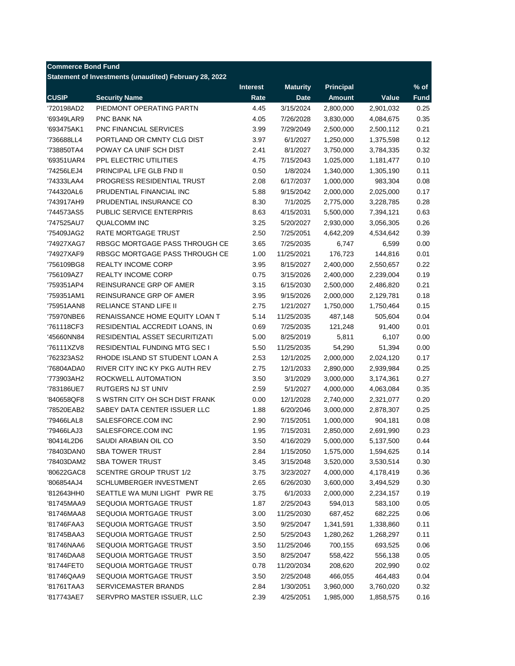|              | Statement of Investments (unaudited) February 28, 2022 | <b>Interest</b> | <b>Maturity</b> | <b>Principal</b> |           | $%$ of      |
|--------------|--------------------------------------------------------|-----------------|-----------------|------------------|-----------|-------------|
| <b>CUSIP</b> | <b>Security Name</b>                                   | Rate            | <b>Date</b>     | <b>Amount</b>    | Value     | <b>Fund</b> |
| '720198AD2   | PIEDMONT OPERATING PARTN                               | 4.45            | 3/15/2024       | 2,800,000        | 2,901,032 | 0.25        |
| '69349LAR9   | PNC BANK NA                                            | 4.05            | 7/26/2028       | 3,830,000        | 4,084,675 | 0.35        |
| '693475AK1   | <b>PNC FINANCIAL SERVICES</b>                          | 3.99            | 7/29/2049       | 2,500,000        | 2,500,112 | 0.21        |
| '736688LL4   | PORTLAND OR CMNTY CLG DIST                             | 3.97            | 6/1/2027        | 1,250,000        | 1,375,598 | 0.12        |
| '738850TA4   | POWAY CA UNIF SCH DIST                                 | 2.41            | 8/1/2027        | 3,750,000        | 3,784,335 | 0.32        |
| '69351UAR4   | PPL ELECTRIC UTILITIES                                 | 4.75            | 7/15/2043       | 1,025,000        | 1,181,477 | 0.10        |
| '74256LEJ4   | PRINCIPAL LFE GLB FND II                               | 0.50            | 1/8/2024        | 1,340,000        | 1,305,190 | 0.11        |
| '74333LAA4   | <b>PROGRESS RESIDENTIAL TRUST</b>                      | 2.08            | 6/17/2037       | 1,000,000        | 983,304   | 0.08        |
| '744320AL6   | PRUDENTIAL FINANCIAL INC                               | 5.88            | 9/15/2042       | 2,000,000        | 2,025,000 | 0.17        |
| '743917AH9   | PRUDENTIAL INSURANCE CO                                | 8.30            | 7/1/2025        | 2,775,000        | 3,228,785 | 0.28        |
| '744573AS5   | PUBLIC SERVICE ENTERPRIS                               | 8.63            | 4/15/2031       | 5,500,000        | 7,394,121 | 0.63        |
| '747525AU7   | <b>QUALCOMM INC</b>                                    | 3.25            | 5/20/2027       | 2,930,000        | 3,056,305 | 0.26        |
| '75409JAG2   | <b>RATE MORTGAGE TRUST</b>                             | 2.50            | 7/25/2051       | 4,642,209        | 4,534,642 | 0.39        |
| '74927XAG7   | RBSGC MORTGAGE PASS THROUGH CE                         | 3.65            | 7/25/2035       | 6,747            | 6,599     | 0.00        |
| '74927XAF9   | RBSGC MORTGAGE PASS THROUGH CE                         | 1.00            | 11/25/2021      | 176,723          | 144,816   | 0.01        |
| '756109BG8   | <b>REALTY INCOME CORP</b>                              | 3.95            | 8/15/2027       | 2,400,000        | 2,550,657 | 0.22        |
| '756109AZ7   | <b>REALTY INCOME CORP</b>                              | 0.75            | 3/15/2026       | 2,400,000        | 2,239,004 | 0.19        |
| '759351AP4   | REINSURANCE GRP OF AMER                                | 3.15            | 6/15/2030       | 2,500,000        | 2,486,820 | 0.21        |
| '759351AM1   | REINSURANCE GRP OF AMER                                | 3.95            | 9/15/2026       | 2,000,000        | 2,129,781 | 0.18        |
| '75951AAN8   | RELIANCE STAND LIFE II                                 | 2.75            | 1/21/2027       | 1,750,000        | 1,750,464 | 0.15        |
| '75970NBE6   | RENAISSANCE HOME EQUITY LOAN T                         | 5.14            | 11/25/2035      | 487,148          | 505,604   | 0.04        |
| '761118CF3   | RESIDENTIAL ACCREDIT LOANS, IN                         | 0.69            | 7/25/2035       | 121,248          | 91,400    | 0.01        |
| '45660NN84   | RESIDENTIAL ASSET SECURITIZATI                         | 5.00            | 8/25/2019       | 5,811            | 6,107     | 0.00        |
| '76111XZV8   | RESIDENTIAL FUNDING MTG SEC I                          | 5.50            | 11/25/2035      | 54,290           | 51,394    | 0.00        |
| '762323AS2   | RHODE ISLAND ST STUDENT LOAN A                         | 2.53            | 12/1/2025       | 2,000,000        | 2,024,120 | 0.17        |
| '76804ADA0   | RIVER CITY INC KY PKG AUTH REV                         | 2.75            | 12/1/2033       | 2,890,000        | 2,939,984 | 0.25        |
| '773903AH2   | ROCKWELL AUTOMATION                                    | 3.50            | 3/1/2029        | 3,000,000        | 3,174,361 | 0.27        |
| '783186UE7   | RUTGERS NJ ST UNIV                                     | 2.59            | 5/1/2027        | 4,000,000        | 4,063,084 | 0.35        |
| '840658QF8   | S WSTRN CITY OH SCH DIST FRANK                         | 0.00            | 12/1/2028       | 2,740,000        | 2,321,077 | 0.20        |
| '78520EAB2   | SABEY DATA CENTER ISSUER LLC                           | 1.88            | 6/20/2046       | 3,000,000        | 2,878,307 | 0.25        |
| '79466LAL8   | SALESFORCE.COM INC                                     | 2.90            | 7/15/2051       | 1,000,000        | 904,181   | 0.08        |
| '79466LAJ3   | SALESFORCE.COM INC                                     | 1.95            | 7/15/2031       | 2,850,000        | 2,691,990 | 0.23        |
| '80414L2D6   | SAUDI ARABIAN OIL CO                                   | 3.50            | 4/16/2029       | 5,000,000        | 5,137,500 | 0.44        |
| '78403DAN0   | <b>SBA TOWER TRUST</b>                                 | 2.84            | 1/15/2050       | 1,575,000        | 1,594,625 | 0.14        |
| '78403DAM2   | <b>SBA TOWER TRUST</b>                                 | 3.45            | 3/15/2048       | 3,520,000        | 3,530,514 | 0.30        |
| '80622GAC8   | <b>SCENTRE GROUP TRUST 1/2</b>                         | 3.75            | 3/23/2027       | 4,000,000        | 4,178,419 | 0.36        |
| '806854AJ4   | <b>SCHLUMBERGER INVESTMENT</b>                         | 2.65            | 6/26/2030       | 3,600,000        | 3,494,529 | 0.30        |
| '812643HH0   | SEATTLE WA MUNI LIGHT PWR RE                           | 3.75            | 6/1/2033        | 2,000,000        | 2,234,157 | 0.19        |
| '81745MAA9   | SEQUOIA MORTGAGE TRUST                                 | 1.87            | 2/25/2043       | 594,013          | 583,100   | 0.05        |
| '81746MAA8   | SEQUOIA MORTGAGE TRUST                                 | 3.00            | 11/25/2030      | 687,452          | 682,225   | 0.06        |
| '81746FAA3   | SEQUOIA MORTGAGE TRUST                                 | 3.50            | 9/25/2047       | 1,341,591        | 1,338,860 | 0.11        |
| '81745BAA3   | SEQUOIA MORTGAGE TRUST                                 | 2.50            | 5/25/2043       | 1,280,262        | 1,268,297 | 0.11        |
| '81746NAA6   | SEQUOIA MORTGAGE TRUST                                 | 3.50            | 11/25/2046      | 700,155          | 693,525   | 0.06        |
| '81746DAA8   | SEQUOIA MORTGAGE TRUST                                 | 3.50            | 8/25/2047       | 558,422          | 556,138   | 0.05        |
| '81744FET0   | SEQUOIA MORTGAGE TRUST                                 | 0.78            | 11/20/2034      | 208,620          | 202,990   | 0.02        |
| '81746QAA9   | SEQUOIA MORTGAGE TRUST                                 | 3.50            | 2/25/2048       | 466,055          | 464,483   | 0.04        |
| '81761TAA3   | SERVICEMASTER BRANDS                                   | 2.84            | 1/30/2051       | 3,960,000        | 3,760,020 | 0.32        |
| '817743AE7   | SERVPRO MASTER ISSUER, LLC                             | 2.39            | 4/25/2051       | 1,985,000        | 1,858,575 | 0.16        |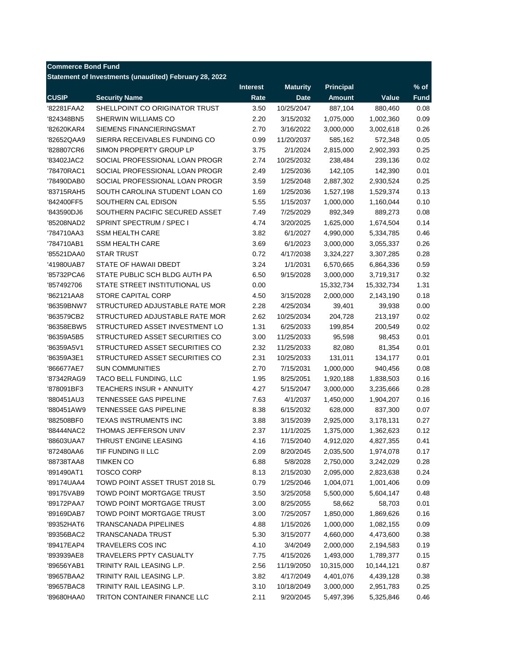| <b>Commerce Bond Fund</b> |                                                        |                 |                 |                  |            |             |
|---------------------------|--------------------------------------------------------|-----------------|-----------------|------------------|------------|-------------|
|                           | Statement of Investments (unaudited) February 28, 2022 |                 |                 |                  |            |             |
|                           |                                                        | <b>Interest</b> | <b>Maturity</b> | <b>Principal</b> |            | $%$ of      |
| <b>CUSIP</b>              | <b>Security Name</b>                                   | Rate            | <b>Date</b>     | <b>Amount</b>    | Value      | <b>Fund</b> |
| '82281FAA2                | SHELLPOINT CO ORIGINATOR TRUST                         | 3.50            | 10/25/2047      | 887,104          | 880,460    | 0.08        |
| '824348BN5                | SHERWIN WILLIAMS CO                                    | 2.20            | 3/15/2032       | 1,075,000        | 1,002,360  | 0.09        |
| '82620KAR4                | SIEMENS FINANCIERINGSMAT                               | 2.70            | 3/16/2022       | 3,000,000        | 3,002,618  | 0.26        |
| '82652QAA9                | SIERRA RECEIVABLES FUNDING CO                          | 0.99            | 11/20/2037      | 585,162          | 572,348    | 0.05        |
| '828807CR6                | SIMON PROPERTY GROUP LP                                | 3.75            | 2/1/2024        | 2,815,000        | 2,902,393  | 0.25        |
| '83402JAC2                | SOCIAL PROFESSIONAL LOAN PROGR                         | 2.74            | 10/25/2032      | 238,484          | 239,136    | 0.02        |
| '78470RAC1                | SOCIAL PROFESSIONAL LOAN PROGR                         | 2.49            | 1/25/2036       | 142,105          | 142,390    | 0.01        |
| '78490DAB0                | SOCIAL PROFESSIONAL LOAN PROGR                         | 3.59            | 1/25/2048       | 2,887,302        | 2,930,524  | 0.25        |
| '83715RAH5                | SOUTH CAROLINA STUDENT LOAN CO                         | 1.69            | 1/25/2036       | 1,527,198        | 1,529,374  | 0.13        |
| '842400FF5                | SOUTHERN CAL EDISON                                    | 5.55            | 1/15/2037       | 1,000,000        | 1,160,044  | 0.10        |
| '843590DJ6                | SOUTHERN PACIFIC SECURED ASSET                         | 7.49            | 7/25/2029       | 892,349          | 889,273    | 0.08        |
| '85208NAD2                | SPRINT SPECTRUM / SPEC I                               | 4.74            | 3/20/2025       | 1,625,000        | 1,674,504  | 0.14        |
| '784710AA3                | <b>SSM HEALTH CARE</b>                                 | 3.82            | 6/1/2027        | 4,990,000        | 5,334,785  | 0.46        |
| '784710AB1                | <b>SSM HEALTH CARE</b>                                 | 3.69            | 6/1/2023        | 3,000,000        | 3,055,337  | 0.26        |
| '85521DAA0                | <b>STAR TRUST</b>                                      | 0.72            | 4/17/2038       | 3,324,227        | 3,307,285  | 0.28        |
| '41980UAB7                | STATE OF HAWAII DBEDT                                  | 3.24            | 1/1/2031        | 6,570,665        | 6,864,336  | 0.59        |
| '85732PCA6                | STATE PUBLIC SCH BLDG AUTH PA                          | 6.50            | 9/15/2028       | 3,000,000        | 3,719,317  | 0.32        |
| '857492706                | STATE STREET INSTITUTIONAL US                          | 0.00            |                 | 15,332,734       | 15,332,734 | 1.31        |
| '862121AA8                | <b>STORE CAPITAL CORP</b>                              | 4.50            | 3/15/2028       | 2,000,000        | 2,143,190  | 0.18        |
| '86359BNW7                | STRUCTURED ADJUSTABLE RATE MOR                         | 2.28            | 4/25/2034       | 39,401           | 39,938     | 0.00        |
| '863579CB2                | STRUCTURED ADJUSTABLE RATE MOR                         | 2.62            | 10/25/2034      | 204,728          | 213,197    | 0.02        |
| '86358EBW5                | STRUCTURED ASSET INVESTMENT LO                         | 1.31            | 6/25/2033       | 199,854          | 200,549    | 0.02        |
| '86359A5B5                | STRUCTURED ASSET SECURITIES CO                         | 3.00            | 11/25/2033      | 95,598           | 98,453     | 0.01        |
| '86359A5V1                | STRUCTURED ASSET SECURITIES CO                         | 2.32            | 11/25/2033      | 82,080           | 81,354     | 0.01        |
| '86359A3E1                | STRUCTURED ASSET SECURITIES CO                         | 2.31            | 10/25/2033      | 131,011          | 134,177    | 0.01        |
| '866677AE7                | <b>SUN COMMUNITIES</b>                                 | 2.70            | 7/15/2031       | 1,000,000        | 940,456    | 0.08        |
| '87342RAG9                | TACO BELL FUNDING, LLC                                 | 1.95            | 8/25/2051       | 1,920,188        | 1,838,503  | 0.16        |
| '878091BF3                | <b>TEACHERS INSUR + ANNUITY</b>                        | 4.27            | 5/15/2047       | 3,000,000        | 3,235,666  | 0.28        |
| '880451AU3                | TENNESSEE GAS PIPELINE                                 | 7.63            | 4/1/2037        | 1,450,000        | 1,904,207  | 0.16        |
| '880451AW9                | <b>TENNESSEE GAS PIPELINE</b>                          | 8.38            | 6/15/2032       | 628,000          | 837,300    | 0.07        |
| '882508BF0                | <b>TEXAS INSTRUMENTS INC</b>                           | 3.88            | 3/15/2039       | 2,925,000        | 3,178,131  | 0.27        |
| '88444NAC2                | THOMAS JEFFERSON UNIV                                  | 2.37            | 11/1/2025       | 1,375,000        | 1,362,623  | 0.12        |
| '88603UAA7                | THRUST ENGINE LEASING                                  | 4.16            | 7/15/2040       | 4,912,020        | 4,827,355  | 0.41        |
| '872480AA6                | TIF FUNDING II LLC                                     | 2.09            | 8/20/2045       | 2,035,500        | 1,974,078  | 0.17        |
| '88738TAA8                | <b>TIMKEN CO</b>                                       | 6.88            | 5/8/2028        | 2,750,000        | 3,242,029  | 0.28        |
| '891490AT1                | <b>TOSCO CORP</b>                                      | 8.13            | 2/15/2030       | 2,095,000        | 2,823,638  | 0.24        |
| '89174UAA4                | TOWD POINT ASSET TRUST 2018 SL                         | 0.79            | 1/25/2046       | 1,004,071        | 1,001,406  | 0.09        |
| '89175VAB9                | TOWD POINT MORTGAGE TRUST                              | 3.50            | 3/25/2058       | 5,500,000        | 5,604,147  | 0.48        |
| '89172PAA7                | TOWD POINT MORTGAGE TRUST                              | 3.00            | 8/25/2055       | 58,662           | 58,703     | 0.01        |
| '89169DAB7                | TOWD POINT MORTGAGE TRUST                              | 3.00            | 7/25/2057       | 1,850,000        | 1,869,626  | 0.16        |
| '89352HAT6                | <b>TRANSCANADA PIPELINES</b>                           | 4.88            | 1/15/2026       | 1,000,000        | 1,082,155  | 0.09        |
| '89356BAC2                | TRANSCANADA TRUST                                      | 5.30            | 3/15/2077       | 4,660,000        | 4,473,600  | 0.38        |
| '89417EAP4                | TRAVELERS COS INC                                      | 4.10            | 3/4/2049        | 2,000,000        | 2,194,583  | 0.19        |
| '893939AE8                | TRAVELERS PPTY CASUALTY                                | 7.75            | 4/15/2026       | 1,493,000        | 1,789,377  | 0.15        |
| '89656YAB1                | TRINITY RAIL LEASING L.P.                              | 2.56            | 11/19/2050      | 10,315,000       | 10,144,121 | 0.87        |
| '89657BAA2                | TRINITY RAIL LEASING L.P.                              | 3.82            | 4/17/2049       | 4,401,076        | 4,439,128  | 0.38        |
| '89657BAC8                | TRINITY RAIL LEASING L.P.                              | 3.10            | 10/18/2049      | 3,000,000        | 2,951,783  | 0.25        |
| '89680HAA0                | TRITON CONTAINER FINANCE LLC                           | 2.11            | 9/20/2045       | 5,497,396        | 5,325,846  | 0.46        |
|                           |                                                        |                 |                 |                  |            |             |